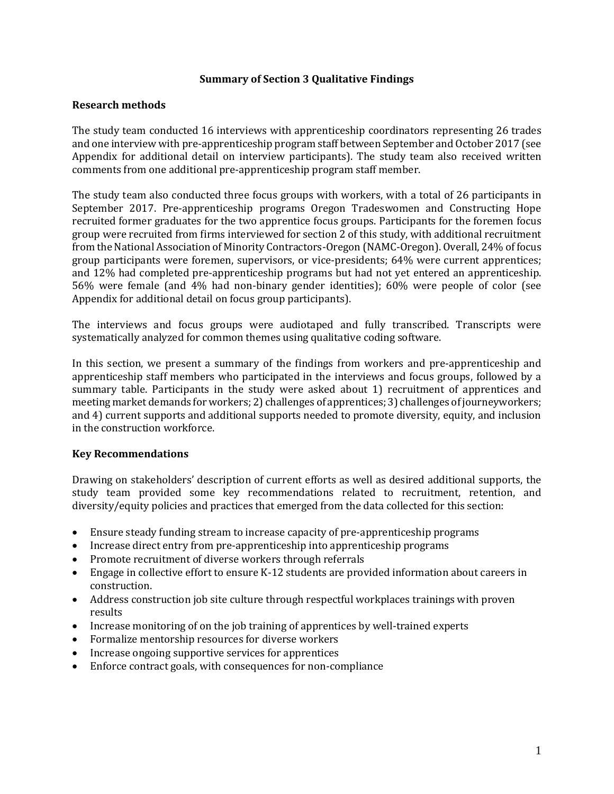### **Summary of Section 3 Qualitative Findings**

## **Research methods**

The study team conducted 16 interviews with apprenticeship coordinators representing 26 trades and one interview with pre-apprenticeship program staff between September and October 2017 (see Appendix for additional detail on interview participants). The study team also received written comments from one additional pre-apprenticeship program staff member.

The study team also conducted three focus groups with workers, with a total of 26 participants in September 2017. Pre-apprenticeship programs Oregon Tradeswomen and Constructing Hope recruited former graduates for the two apprentice focus groups. Participants for the foremen focus group were recruited from firms interviewed for section 2 of this study, with additional recruitment from the National Association of Minority Contractors-Oregon (NAMC-Oregon). Overall, 24% of focus group participants were foremen, supervisors, or vice-presidents; 64% were current apprentices; and 12% had completed pre-apprenticeship programs but had not yet entered an apprenticeship. 56% were female (and 4% had non-binary gender identities); 60% were people of color (see Appendix for additional detail on focus group participants).

The interviews and focus groups were audiotaped and fully transcribed. Transcripts were systematically analyzed for common themes using qualitative coding software.

In this section, we present a summary of the findings from workers and pre-apprenticeship and apprenticeship staff members who participated in the interviews and focus groups, followed by a summary table. Participants in the study were asked about 1) recruitment of apprentices and meeting market demands for workers; 2) challenges of apprentices; 3) challenges of journeyworkers; and 4) current supports and additional supports needed to promote diversity, equity, and inclusion in the construction workforce.

# **Key Recommendations**

Drawing on stakeholders' description of current efforts as well as desired additional supports, the study team provided some key recommendations related to recruitment, retention, and diversity/equity policies and practices that emerged from the data collected for this section:

- Ensure steady funding stream to increase capacity of pre-apprenticeship programs
- Increase direct entry from pre-apprenticeship into apprenticeship programs
- Promote recruitment of diverse workers through referrals
- Engage in collective effort to ensure K-12 students are provided information about careers in construction.
- Address construction job site culture through respectful workplaces trainings with proven results
- Increase monitoring of on the job training of apprentices by well-trained experts
- Formalize mentorship resources for diverse workers
- Increase ongoing supportive services for apprentices
- Enforce contract goals, with consequences for non-compliance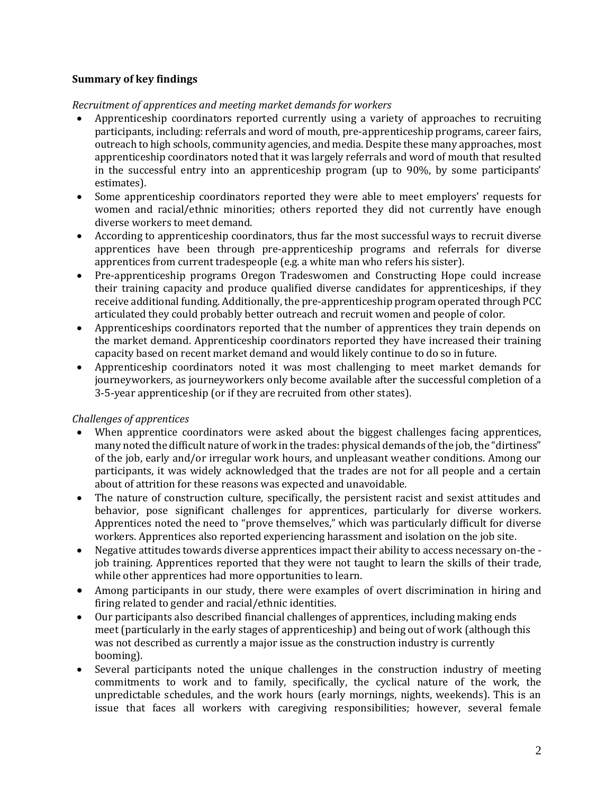# **Summary of key findings**

# *Recruitment of apprentices and meeting market demands for workers*

- Apprenticeship coordinators reported currently using a variety of approaches to recruiting participants, including: referrals and word of mouth, pre-apprenticeship programs, career fairs, outreach to high schools, community agencies, and media. Despite these many approaches, most apprenticeship coordinators noted that it was largely referrals and word of mouth that resulted in the successful entry into an apprenticeship program (up to 90%, by some participants' estimates).
- Some apprenticeship coordinators reported they were able to meet employers' requests for women and racial/ethnic minorities; others reported they did not currently have enough diverse workers to meet demand.
- According to apprenticeship coordinators, thus far the most successful ways to recruit diverse apprentices have been through pre-apprenticeship programs and referrals for diverse apprentices from current tradespeople (e.g. a white man who refers his sister).
- Pre-apprenticeship programs Oregon Tradeswomen and Constructing Hope could increase their training capacity and produce qualified diverse candidates for apprenticeships, if they receive additional funding. Additionally, the pre-apprenticeship program operated through PCC articulated they could probably better outreach and recruit women and people of color.
- Apprenticeships coordinators reported that the number of apprentices they train depends on the market demand. Apprenticeship coordinators reported they have increased their training capacity based on recent market demand and would likely continue to do so in future.
- Apprenticeship coordinators noted it was most challenging to meet market demands for journeyworkers, as journeyworkers only become available after the successful completion of a 3-5-year apprenticeship (or if they are recruited from other states).

# *Challenges of apprentices*

- When apprentice coordinators were asked about the biggest challenges facing apprentices, many noted the difficult nature of work in the trades: physical demands of the job, the "dirtiness" of the job, early and/or irregular work hours, and unpleasant weather conditions. Among our participants, it was widely acknowledged that the trades are not for all people and a certain about of attrition for these reasons was expected and unavoidable.
- The nature of construction culture, specifically, the persistent racist and sexist attitudes and behavior, pose significant challenges for apprentices, particularly for diverse workers. Apprentices noted the need to "prove themselves," which was particularly difficult for diverse workers. Apprentices also reported experiencing harassment and isolation on the job site.
- Negative attitudes towards diverse apprentices impact their ability to access necessary on-the job training. Apprentices reported that they were not taught to learn the skills of their trade, while other apprentices had more opportunities to learn.
- Among participants in our study, there were examples of overt discrimination in hiring and firing related to gender and racial/ethnic identities.
- Our participants also described financial challenges of apprentices, including making ends meet (particularly in the early stages of apprenticeship) and being out of work (although this was not described as currently a major issue as the construction industry is currently booming).
- Several participants noted the unique challenges in the construction industry of meeting commitments to work and to family, specifically, the cyclical nature of the work, the unpredictable schedules, and the work hours (early mornings, nights, weekends). This is an issue that faces all workers with caregiving responsibilities; however, several female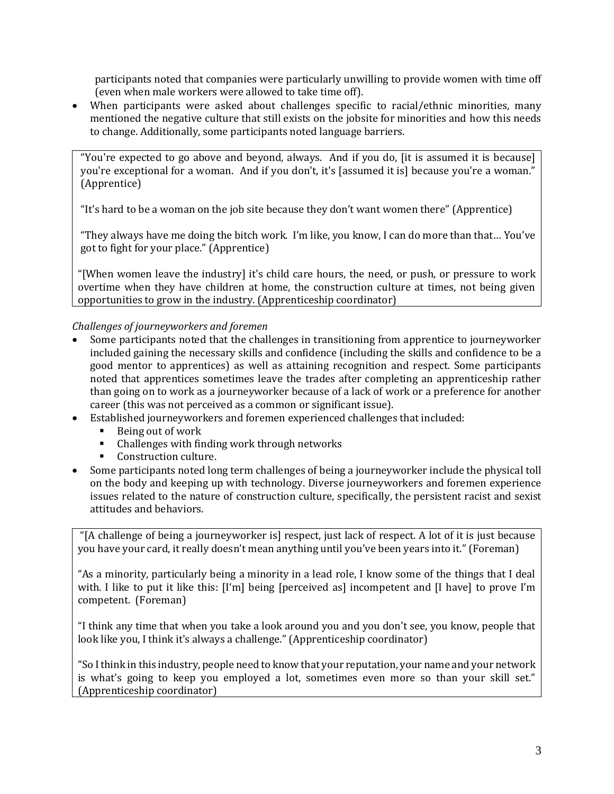participants noted that companies were particularly unwilling to provide women with time off (even when male workers were allowed to take time off).

When participants were asked about challenges specific to racial/ethnic minorities, many mentioned the negative culture that still exists on the jobsite for minorities and how this needs to change. Additionally, some participants noted language barriers.

"You're expected to go above and beyond, always. And if you do, [it is assumed it is because] you're exceptional for a woman. And if you don't, it's [assumed it is] because you're a woman." (Apprentice)

"It's hard to be a woman on the job site because they don't want women there" (Apprentice)

"They always have me doing the bitch work. I'm like, you know, I can do more than that… You've got to fight for your place." (Apprentice)

"[When women leave the industry] it's child care hours, the need, or push, or pressure to work overtime when they have children at home, the construction culture at times, not being given opportunities to grow in the industry. (Apprenticeship coordinator)

# *Challenges of journeyworkers and foremen*

- Some participants noted that the challenges in transitioning from apprentice to journeyworker included gaining the necessary skills and confidence (including the skills and confidence to be a good mentor to apprentices) as well as attaining recognition and respect. Some participants noted that apprentices sometimes leave the trades after completing an apprenticeship rather than going on to work as a journeyworker because of a lack of work or a preference for another career (this was not perceived as a common or significant issue).
- Established journeyworkers and foremen experienced challenges that included:
	- Being out of work
	- Challenges with finding work through networks
	- Construction culture.
- Some participants noted long term challenges of being a journeyworker include the physical toll on the body and keeping up with technology. Diverse journeyworkers and foremen experience issues related to the nature of construction culture, specifically, the persistent racist and sexist attitudes and behaviors.

"[A challenge of being a journeyworker is] respect, just lack of respect. A lot of it is just because you have your card, it really doesn't mean anything until you've been years into it." (Foreman)

"As a minority, particularly being a minority in a lead role, I know some of the things that I deal with. I like to put it like this: [I'm] being [perceived as] incompetent and [I have] to prove I'm competent. (Foreman)

"I think any time that when you take a look around you and you don't see, you know, people that look like you, I think it's always a challenge." (Apprenticeship coordinator)

"So I think in this industry, people need to know that your reputation, your name and your network is what's going to keep you employed a lot, sometimes even more so than your skill set." (Apprenticeship coordinator)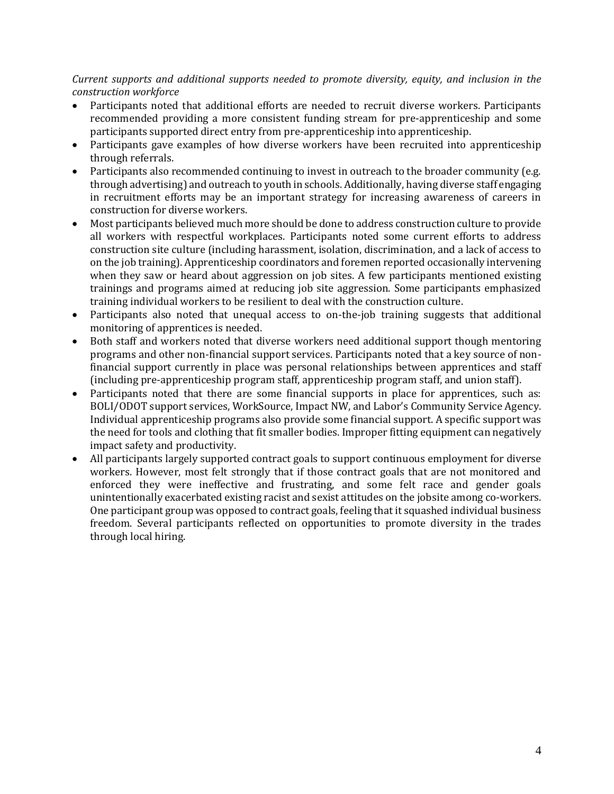*Current supports and additional supports needed to promote diversity, equity, and inclusion in the construction workforce*

- Participants noted that additional efforts are needed to recruit diverse workers. Participants recommended providing a more consistent funding stream for pre-apprenticeship and some participants supported direct entry from pre-apprenticeship into apprenticeship.
- Participants gave examples of how diverse workers have been recruited into apprenticeship through referrals.
- Participants also recommended continuing to invest in outreach to the broader community (e.g. through advertising) and outreach to youth in schools. Additionally, having diverse staff engaging in recruitment efforts may be an important strategy for increasing awareness of careers in construction for diverse workers.
- Most participants believed much more should be done to address construction culture to provide all workers with respectful workplaces. Participants noted some current efforts to address construction site culture (including harassment, isolation, discrimination, and a lack of access to on the job training). Apprenticeship coordinators and foremen reported occasionally intervening when they saw or heard about aggression on job sites. A few participants mentioned existing trainings and programs aimed at reducing job site aggression. Some participants emphasized training individual workers to be resilient to deal with the construction culture.
- Participants also noted that unequal access to on-the-job training suggests that additional monitoring of apprentices is needed.
- Both staff and workers noted that diverse workers need additional support though mentoring programs and other non-financial support services. Participants noted that a key source of nonfinancial support currently in place was personal relationships between apprentices and staff (including pre-apprenticeship program staff, apprenticeship program staff, and union staff).
- Participants noted that there are some financial supports in place for apprentices, such as: BOLI/ODOT support services, WorkSource, Impact NW, and Labor's Community Service Agency. Individual apprenticeship programs also provide some financial support. A specific support was the need for tools and clothing that fit smaller bodies. Improper fitting equipment can negatively impact safety and productivity.
- All participants largely supported contract goals to support continuous employment for diverse workers. However, most felt strongly that if those contract goals that are not monitored and enforced they were ineffective and frustrating, and some felt race and gender goals unintentionally exacerbated existing racist and sexist attitudes on the jobsite among co-workers. One participant group was opposed to contract goals, feeling that it squashed individual business freedom. Several participants reflected on opportunities to promote diversity in the trades through local hiring.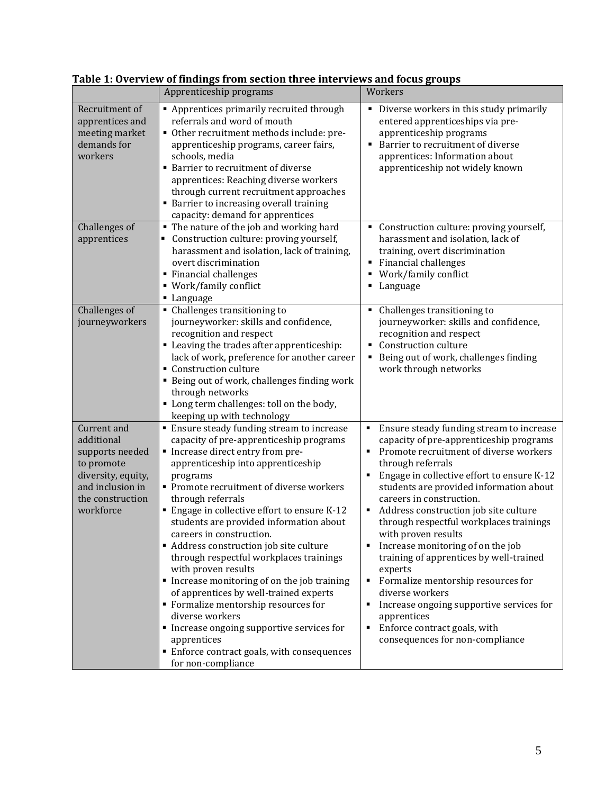|                                                                                                                                       | Apprenticeship programs                                                                                                                                                                                                                                                                                                                                                                                                                                                                                                                                                                                                                                                                                                                                             | Workers                                                                                                                                                                                                                                                                                                                                                                                                                                                                                                                                                                                                                                                                                       |
|---------------------------------------------------------------------------------------------------------------------------------------|---------------------------------------------------------------------------------------------------------------------------------------------------------------------------------------------------------------------------------------------------------------------------------------------------------------------------------------------------------------------------------------------------------------------------------------------------------------------------------------------------------------------------------------------------------------------------------------------------------------------------------------------------------------------------------------------------------------------------------------------------------------------|-----------------------------------------------------------------------------------------------------------------------------------------------------------------------------------------------------------------------------------------------------------------------------------------------------------------------------------------------------------------------------------------------------------------------------------------------------------------------------------------------------------------------------------------------------------------------------------------------------------------------------------------------------------------------------------------------|
| Recruitment of<br>apprentices and<br>meeting market<br>demands for<br>workers                                                         | Apprentices primarily recruited through<br>referrals and word of mouth<br>• Other recruitment methods include: pre-<br>apprenticeship programs, career fairs,<br>schools, media<br>• Barrier to recruitment of diverse<br>apprentices: Reaching diverse workers<br>through current recruitment approaches<br>• Barrier to increasing overall training<br>capacity: demand for apprentices                                                                                                                                                                                                                                                                                                                                                                           | Diverse workers in this study primarily<br>٠<br>entered apprenticeships via pre-<br>apprenticeship programs<br>Barrier to recruitment of diverse<br>apprentices: Information about<br>apprenticeship not widely known                                                                                                                                                                                                                                                                                                                                                                                                                                                                         |
| Challenges of<br>apprentices                                                                                                          | " The nature of the job and working hard<br>• Construction culture: proving yourself,<br>harassment and isolation, lack of training,<br>overt discrimination<br>Financial challenges<br>■ Work/family conflict<br>• Language                                                                                                                                                                                                                                                                                                                                                                                                                                                                                                                                        | Construction culture: proving yourself,<br>٠<br>harassment and isolation, lack of<br>training, overt discrimination<br><b>Financial challenges</b><br>٠<br>Work/family conflict<br>٠<br>Language<br>Е                                                                                                                                                                                                                                                                                                                                                                                                                                                                                         |
| Challenges of<br>journeyworkers                                                                                                       | • Challenges transitioning to<br>journeyworker: skills and confidence,<br>recognition and respect<br>• Leaving the trades after apprenticeship:<br>lack of work, preference for another career<br>• Construction culture<br>" Being out of work, challenges finding work<br>through networks<br>" Long term challenges: toll on the body,<br>keeping up with technology                                                                                                                                                                                                                                                                                                                                                                                             | Challenges transitioning to<br>٠<br>journeyworker: skills and confidence,<br>recognition and respect<br>Construction culture<br>$\blacksquare$<br>Being out of work, challenges finding<br>٠<br>work through networks                                                                                                                                                                                                                                                                                                                                                                                                                                                                         |
| Current and<br>additional<br>supports needed<br>to promote<br>diversity, equity,<br>and inclusion in<br>the construction<br>workforce | <b>Ensure steady funding stream to increase</b><br>capacity of pre-apprenticeship programs<br>Increase direct entry from pre-<br>apprenticeship into apprenticeship<br>programs<br>Promote recruitment of diverse workers<br>through referrals<br>Engage in collective effort to ensure K-12<br>students are provided information about<br>careers in construction.<br>• Address construction job site culture<br>through respectful workplaces trainings<br>with proven results<br>Increase monitoring of on the job training<br>of apprentices by well-trained experts<br>• Formalize mentorship resources for<br>diverse workers<br>Increase ongoing supportive services for<br>apprentices<br>· Enforce contract goals, with consequences<br>for non-compliance | Ensure steady funding stream to increase<br>٠<br>capacity of pre-apprenticeship programs<br>Promote recruitment of diverse workers<br>through referrals<br>Engage in collective effort to ensure K-12<br>students are provided information about<br>careers in construction.<br>Address construction job site culture<br>٠<br>through respectful workplaces trainings<br>with proven results<br>Increase monitoring of on the job<br>training of apprentices by well-trained<br>experts<br>Formalize mentorship resources for<br>٠<br>diverse workers<br>Increase ongoing supportive services for<br>٠<br>apprentices<br>Enforce contract goals, with<br>٠<br>consequences for non-compliance |

**Table 1: Overview of findings from section three interviews and focus groups**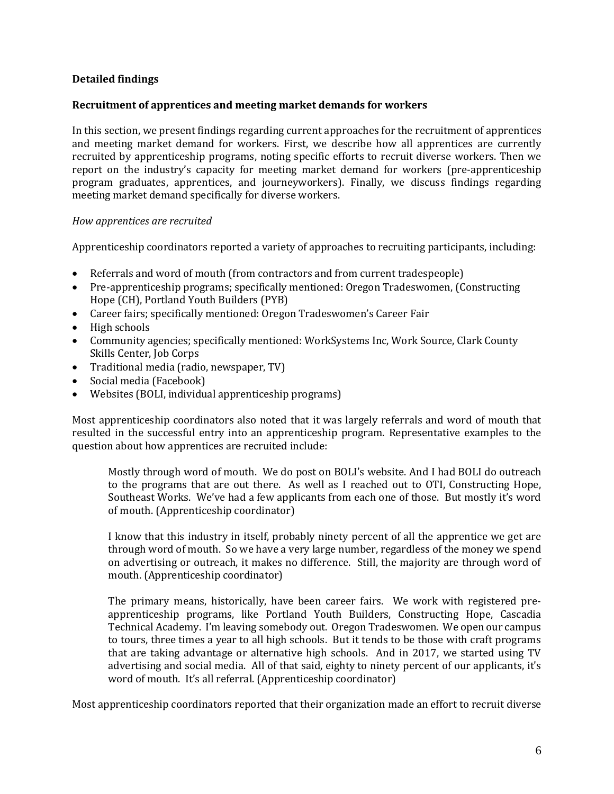# **Detailed findings**

### **Recruitment of apprentices and meeting market demands for workers**

In this section, we present findings regarding current approaches for the recruitment of apprentices and meeting market demand for workers. First, we describe how all apprentices are currently recruited by apprenticeship programs, noting specific efforts to recruit diverse workers. Then we report on the industry's capacity for meeting market demand for workers (pre-apprenticeship program graduates, apprentices, and journeyworkers). Finally, we discuss findings regarding meeting market demand specifically for diverse workers.

### *How apprentices are recruited*

Apprenticeship coordinators reported a variety of approaches to recruiting participants, including:

- Referrals and word of mouth (from contractors and from current tradespeople)
- Pre-apprenticeship programs; specifically mentioned: Oregon Tradeswomen, (Constructing Hope (CH), Portland Youth Builders (PYB)
- Career fairs; specifically mentioned: Oregon Tradeswomen's Career Fair
- High schools
- Community agencies; specifically mentioned: WorkSystems Inc, Work Source, Clark County Skills Center, Job Corps
- Traditional media (radio, newspaper, TV)
- Social media (Facebook)
- Websites (BOLI, individual apprenticeship programs)

Most apprenticeship coordinators also noted that it was largely referrals and word of mouth that resulted in the successful entry into an apprenticeship program. Representative examples to the question about how apprentices are recruited include:

Mostly through word of mouth. We do post on BOLI's website. And I had BOLI do outreach to the programs that are out there. As well as I reached out to OTI, Constructing Hope, Southeast Works. We've had a few applicants from each one of those. But mostly it's word of mouth. (Apprenticeship coordinator)

I know that this industry in itself, probably ninety percent of all the apprentice we get are through word of mouth. So we have a very large number, regardless of the money we spend on advertising or outreach, it makes no difference. Still, the majority are through word of mouth. (Apprenticeship coordinator)

The primary means, historically, have been career fairs. We work with registered preapprenticeship programs, like Portland Youth Builders, Constructing Hope, Cascadia Technical Academy. I'm leaving somebody out. Oregon Tradeswomen. We open our campus to tours, three times a year to all high schools. But it tends to be those with craft programs that are taking advantage or alternative high schools. And in 2017, we started using TV advertising and social media. All of that said, eighty to ninety percent of our applicants, it's word of mouth. It's all referral. (Apprenticeship coordinator)

Most apprenticeship coordinators reported that their organization made an effort to recruit diverse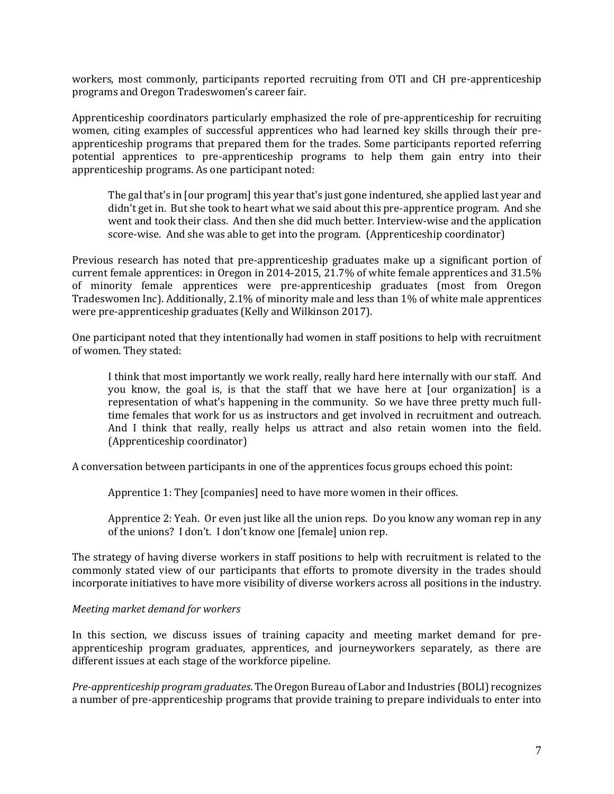workers, most commonly, participants reported recruiting from OTI and CH pre-apprenticeship programs and Oregon Tradeswomen's career fair.

Apprenticeship coordinators particularly emphasized the role of pre-apprenticeship for recruiting women, citing examples of successful apprentices who had learned key skills through their preapprenticeship programs that prepared them for the trades. Some participants reported referring potential apprentices to pre-apprenticeship programs to help them gain entry into their apprenticeship programs. As one participant noted:

The gal that's in [our program] this year that's just gone indentured, she applied last year and didn't get in. But she took to heart what we said about this pre-apprentice program. And she went and took their class. And then she did much better. Interview-wise and the application score-wise. And she was able to get into the program. (Apprenticeship coordinator)

Previous research has noted that pre-apprenticeship graduates make up a significant portion of current female apprentices: in Oregon in 2014-2015, 21.7% of white female apprentices and 31.5% of minority female apprentices were pre-apprenticeship graduates (most from Oregon Tradeswomen Inc). Additionally, 2.1% of minority male and less than 1% of white male apprentices were pre-apprenticeship graduates (Kelly and Wilkinson 2017).

One participant noted that they intentionally had women in staff positions to help with recruitment of women. They stated:

I think that most importantly we work really, really hard here internally with our staff. And you know, the goal is, is that the staff that we have here at [our organization] is a representation of what's happening in the community. So we have three pretty much fulltime females that work for us as instructors and get involved in recruitment and outreach. And I think that really, really helps us attract and also retain women into the field. (Apprenticeship coordinator)

A conversation between participants in one of the apprentices focus groups echoed this point:

Apprentice 1: They [companies] need to have more women in their offices.

Apprentice 2: Yeah. Or even just like all the union reps. Do you know any woman rep in any of the unions? I don't. I don't know one [female] union rep.

The strategy of having diverse workers in staff positions to help with recruitment is related to the commonly stated view of our participants that efforts to promote diversity in the trades should incorporate initiatives to have more visibility of diverse workers across all positions in the industry.

# *Meeting market demand for workers*

In this section, we discuss issues of training capacity and meeting market demand for preapprenticeship program graduates, apprentices, and journeyworkers separately, as there are different issues at each stage of the workforce pipeline.

*Pre-apprenticeship program graduates*. The Oregon Bureau of Labor and Industries (BOLI) recognizes a number of pre-apprenticeship programs that provide training to prepare individuals to enter into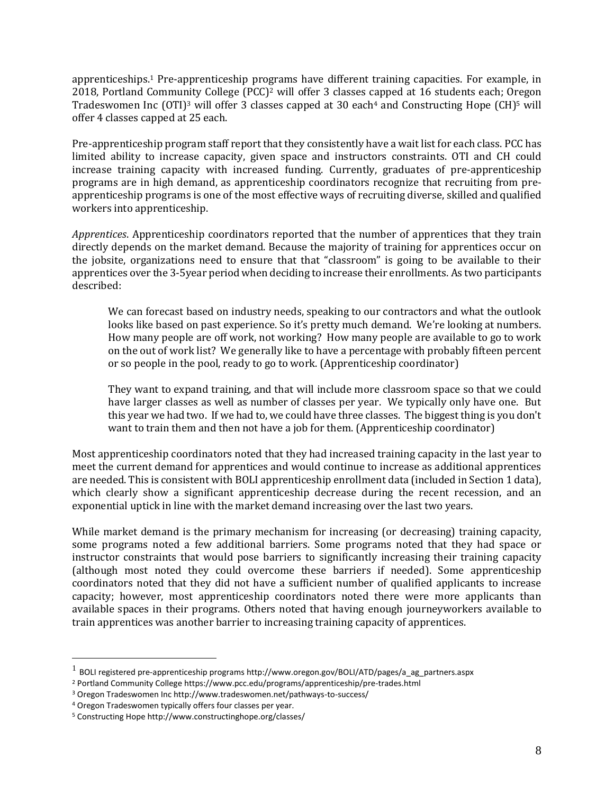apprenticeships.<sup>1</sup> Pre-apprenticeship programs have different training capacities. For example, in 2018, Portland Community College (PCC)<sup>2</sup> will offer 3 classes capped at 16 students each; Oregon Tradeswomen Inc (OTI)<sup>3</sup> will offer 3 classes capped at 30 each<sup>4</sup> and Constructing Hope (CH)<sup>5</sup> will offer 4 classes capped at 25 each.

Pre-apprenticeship program staff report that they consistently have a wait list for each class. PCC has limited ability to increase capacity, given space and instructors constraints. OTI and CH could increase training capacity with increased funding. Currently, graduates of pre-apprenticeship programs are in high demand, as apprenticeship coordinators recognize that recruiting from preapprenticeship programs is one of the most effective ways of recruiting diverse, skilled and qualified workers into apprenticeship.

*Apprentices*. Apprenticeship coordinators reported that the number of apprentices that they train directly depends on the market demand. Because the majority of training for apprentices occur on the jobsite, organizations need to ensure that that "classroom" is going to be available to their apprentices over the 3-5year period when deciding to increase their enrollments. As two participants described:

We can forecast based on industry needs, speaking to our contractors and what the outlook looks like based on past experience. So it's pretty much demand. We're looking at numbers. How many people are off work, not working? How many people are available to go to work on the out of work list? We generally like to have a percentage with probably fifteen percent or so people in the pool, ready to go to work. (Apprenticeship coordinator)

They want to expand training, and that will include more classroom space so that we could have larger classes as well as number of classes per year. We typically only have one. But this year we had two. If we had to, we could have three classes. The biggest thing is you don't want to train them and then not have a job for them. (Apprenticeship coordinator)

Most apprenticeship coordinators noted that they had increased training capacity in the last year to meet the current demand for apprentices and would continue to increase as additional apprentices are needed. This is consistent with BOLI apprenticeship enrollment data (included in Section 1 data), which clearly show a significant apprenticeship decrease during the recent recession, and an exponential uptick in line with the market demand increasing over the last two years.

While market demand is the primary mechanism for increasing (or decreasing) training capacity, some programs noted a few additional barriers. Some programs noted that they had space or instructor constraints that would pose barriers to significantly increasing their training capacity (although most noted they could overcome these barriers if needed). Some apprenticeship coordinators noted that they did not have a sufficient number of qualified applicants to increase capacity; however, most apprenticeship coordinators noted there were more applicants than available spaces in their programs. Others noted that having enough journeyworkers available to train apprentices was another barrier to increasing training capacity of apprentices.

 $\overline{a}$ 

 $^{1}$  BOLI registered pre-apprenticeship programs http://www.oregon.gov/BOLI/ATD/pages/a\_ag\_partners.aspx

<sup>2</sup> Portland Community College https://www.pcc.edu/programs/apprenticeship/pre-trades.html

<sup>3</sup> Oregon Tradeswomen Inc http://www.tradeswomen.net/pathways-to-success/

<sup>4</sup> Oregon Tradeswomen typically offers four classes per year.

<sup>5</sup> Constructing Hope http://www.constructinghope.org/classes/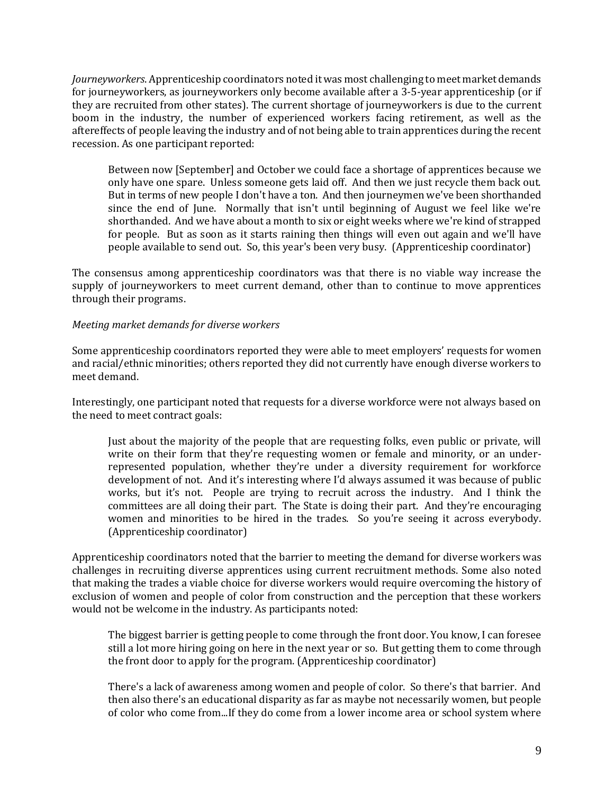*Journeyworkers*. Apprenticeship coordinators noted it was most challenging to meet market demands for journeyworkers, as journeyworkers only become available after a 3-5-year apprenticeship (or if they are recruited from other states). The current shortage of journeyworkers is due to the current boom in the industry, the number of experienced workers facing retirement, as well as the aftereffects of people leaving the industry and of not being able to train apprentices during the recent recession. As one participant reported:

Between now [September] and October we could face a shortage of apprentices because we only have one spare. Unless someone gets laid off. And then we just recycle them back out. But in terms of new people I don't have a ton. And then journeymen we've been shorthanded since the end of June. Normally that isn't until beginning of August we feel like we're shorthanded. And we have about a month to six or eight weeks where we're kind of strapped for people. But as soon as it starts raining then things will even out again and we'll have people available to send out. So, this year's been very busy. (Apprenticeship coordinator)

The consensus among apprenticeship coordinators was that there is no viable way increase the supply of journeyworkers to meet current demand, other than to continue to move apprentices through their programs.

# *Meeting market demands for diverse workers*

Some apprenticeship coordinators reported they were able to meet employers' requests for women and racial/ethnic minorities; others reported they did not currently have enough diverse workers to meet demand.

Interestingly, one participant noted that requests for a diverse workforce were not always based on the need to meet contract goals:

Just about the majority of the people that are requesting folks, even public or private, will write on their form that they're requesting women or female and minority, or an underrepresented population, whether they're under a diversity requirement for workforce development of not. And it's interesting where I'd always assumed it was because of public works, but it's not. People are trying to recruit across the industry. And I think the committees are all doing their part. The State is doing their part. And they're encouraging women and minorities to be hired in the trades. So you're seeing it across everybody. (Apprenticeship coordinator)

Apprenticeship coordinators noted that the barrier to meeting the demand for diverse workers was challenges in recruiting diverse apprentices using current recruitment methods. Some also noted that making the trades a viable choice for diverse workers would require overcoming the history of exclusion of women and people of color from construction and the perception that these workers would not be welcome in the industry. As participants noted:

The biggest barrier is getting people to come through the front door. You know, I can foresee still a lot more hiring going on here in the next year or so. But getting them to come through the front door to apply for the program. (Apprenticeship coordinator)

There's a lack of awareness among women and people of color. So there's that barrier. And then also there's an educational disparity as far as maybe not necessarily women, but people of color who come from...If they do come from a lower income area or school system where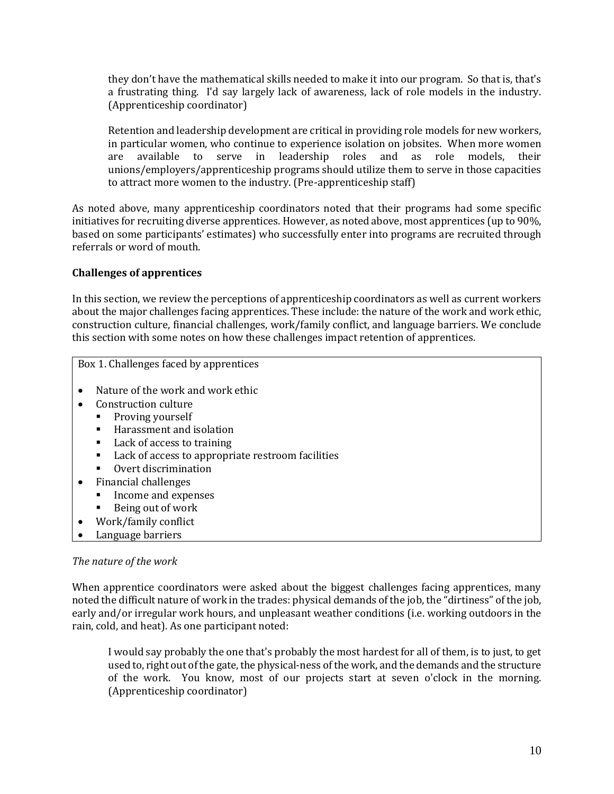they don't have the mathematical skills needed to make it into our program. So that is, that's a frustrating thing. I'd say largely lack of awareness, lack of role models in the industry. (Apprenticeship coordinator)

Retention and leadership development are critical in providing role models for new workers, in particular women, who continue to experience isolation on jobsites. When more women are available to serve in leadership roles and as role models, their unions/employers/apprenticeship programs should utilize them to serve in those capacities to attract more women to the industry. (Pre-apprenticeship staff)

As noted above, many apprenticeship coordinators noted that their programs had some specific initiatives for recruiting diverse apprentices. However, as noted above, most apprentices (up to 90%, based on some participants' estimates) who successfully enter into programs are recruited through referrals or word of mouth.

# **Challenges of apprentices**

In this section, we review the perceptions of apprenticeship coordinators as well as current workers about the major challenges facing apprentices. These include: the nature of the work and work ethic, construction culture, financial challenges, work/family conflict, and language barriers. We conclude this section with some notes on how these challenges impact retention of apprentices.

Box 1. Challenges faced by apprentices

- Nature of the work and work ethic
- Construction culture
	- **•** Proving yourself
	- Harassment and isolation
	- Lack of access to training
	- Lack of access to appropriate restroom facilities
	- Overt discrimination
- Financial challenges
	- Income and expenses
	- Being out of work
	- Work/family conflict
- Language barriers

### *The nature of the work*

When apprentice coordinators were asked about the biggest challenges facing apprentices, many noted the difficult nature of work in the trades: physical demands of the job, the "dirtiness" of the job, early and/or irregular work hours, and unpleasant weather conditions (i.e. working outdoors in the rain, cold, and heat). As one participant noted:

I would say probably the one that's probably the most hardest for all of them, is to just, to get used to, right out of the gate, the physical-ness of the work, and the demands and the structure of the work. You know, most of our projects start at seven o'clock in the morning. (Apprenticeship coordinator)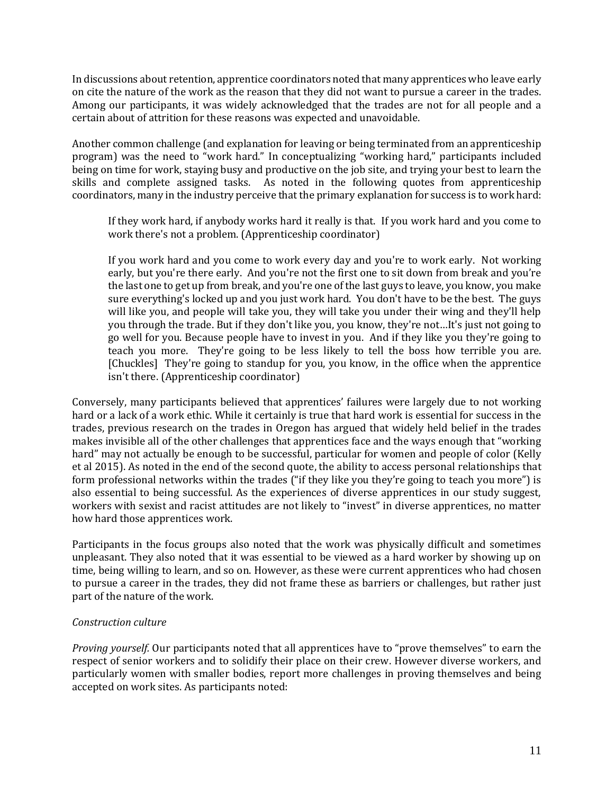In discussions about retention, apprentice coordinators noted that many apprentices who leave early on cite the nature of the work as the reason that they did not want to pursue a career in the trades. Among our participants, it was widely acknowledged that the trades are not for all people and a certain about of attrition for these reasons was expected and unavoidable.

Another common challenge (and explanation for leaving or being terminated from an apprenticeship program) was the need to "work hard." In conceptualizing "working hard," participants included being on time for work, staying busy and productive on the job site, and trying your best to learn the skills and complete assigned tasks. As noted in the following quotes from apprenticeship coordinators, many in the industry perceive that the primary explanation for success is to work hard:

If they work hard, if anybody works hard it really is that. If you work hard and you come to work there's not a problem. (Apprenticeship coordinator)

If you work hard and you come to work every day and you're to work early. Not working early, but you're there early. And you're not the first one to sit down from break and you're the last one to get up from break, and you're one of the last guys to leave, you know, you make sure everything's locked up and you just work hard. You don't have to be the best. The guys will like you, and people will take you, they will take you under their wing and they'll help you through the trade. But if they don't like you, you know, they're not…It's just not going to go well for you. Because people have to invest in you. And if they like you they're going to teach you more. They're going to be less likely to tell the boss how terrible you are. [Chuckles] They're going to standup for you, you know, in the office when the apprentice isn't there. (Apprenticeship coordinator)

Conversely, many participants believed that apprentices' failures were largely due to not working hard or a lack of a work ethic. While it certainly is true that hard work is essential for success in the trades, previous research on the trades in Oregon has argued that widely held belief in the trades makes invisible all of the other challenges that apprentices face and the ways enough that "working hard" may not actually be enough to be successful, particular for women and people of color (Kelly et al 2015). As noted in the end of the second quote, the ability to access personal relationships that form professional networks within the trades ("if they like you they're going to teach you more") is also essential to being successful. As the experiences of diverse apprentices in our study suggest, workers with sexist and racist attitudes are not likely to "invest" in diverse apprentices, no matter how hard those apprentices work.

Participants in the focus groups also noted that the work was physically difficult and sometimes unpleasant. They also noted that it was essential to be viewed as a hard worker by showing up on time, being willing to learn, and so on. However, as these were current apprentices who had chosen to pursue a career in the trades, they did not frame these as barriers or challenges, but rather just part of the nature of the work.

### *Construction culture*

*Proving yourself.* Our participants noted that all apprentices have to "prove themselves" to earn the respect of senior workers and to solidify their place on their crew. However diverse workers, and particularly women with smaller bodies, report more challenges in proving themselves and being accepted on work sites. As participants noted: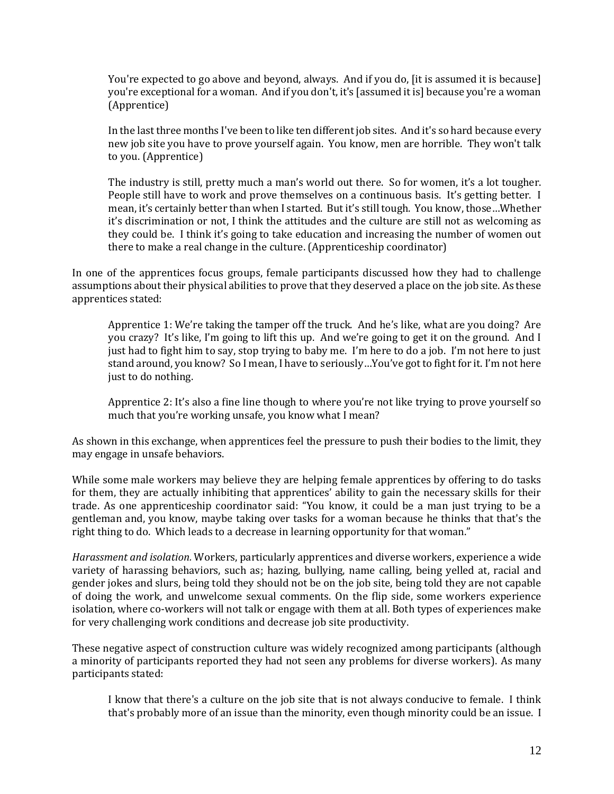You're expected to go above and beyond, always. And if you do, [it is assumed it is because] you're exceptional for a woman. And if you don't, it's [assumed it is] because you're a woman (Apprentice)

In the last three months I've been to like ten different job sites. And it's so hard because every new job site you have to prove yourself again. You know, men are horrible. They won't talk to you. (Apprentice)

The industry is still, pretty much a man's world out there. So for women, it's a lot tougher. People still have to work and prove themselves on a continuous basis. It's getting better. I mean, it's certainly better than when I started. But it's still tough. You know, those…Whether it's discrimination or not, I think the attitudes and the culture are still not as welcoming as they could be. I think it's going to take education and increasing the number of women out there to make a real change in the culture. (Apprenticeship coordinator)

In one of the apprentices focus groups, female participants discussed how they had to challenge assumptions about their physical abilities to prove that they deserved a place on the job site. As these apprentices stated:

Apprentice 1: We're taking the tamper off the truck. And he's like, what are you doing? Are you crazy? It's like, I'm going to lift this up. And we're going to get it on the ground. And I just had to fight him to say, stop trying to baby me. I'm here to do a job. I'm not here to just stand around, you know? So I mean, I have to seriously…You've got to fight for it. I'm not here just to do nothing.

Apprentice 2: It's also a fine line though to where you're not like trying to prove yourself so much that you're working unsafe, you know what I mean?

As shown in this exchange, when apprentices feel the pressure to push their bodies to the limit, they may engage in unsafe behaviors.

While some male workers may believe they are helping female apprentices by offering to do tasks for them, they are actually inhibiting that apprentices' ability to gain the necessary skills for their trade. As one apprenticeship coordinator said: "You know, it could be a man just trying to be a gentleman and, you know, maybe taking over tasks for a woman because he thinks that that's the right thing to do. Which leads to a decrease in learning opportunity for that woman."

*Harassment and isolation.* Workers, particularly apprentices and diverse workers, experience a wide variety of harassing behaviors, such as; hazing, bullying, name calling, being yelled at, racial and gender jokes and slurs, being told they should not be on the job site, being told they are not capable of doing the work, and unwelcome sexual comments. On the flip side, some workers experience isolation, where co-workers will not talk or engage with them at all. Both types of experiences make for very challenging work conditions and decrease job site productivity.

These negative aspect of construction culture was widely recognized among participants (although a minority of participants reported they had not seen any problems for diverse workers). As many participants stated:

I know that there's a culture on the job site that is not always conducive to female. I think that's probably more of an issue than the minority, even though minority could be an issue. I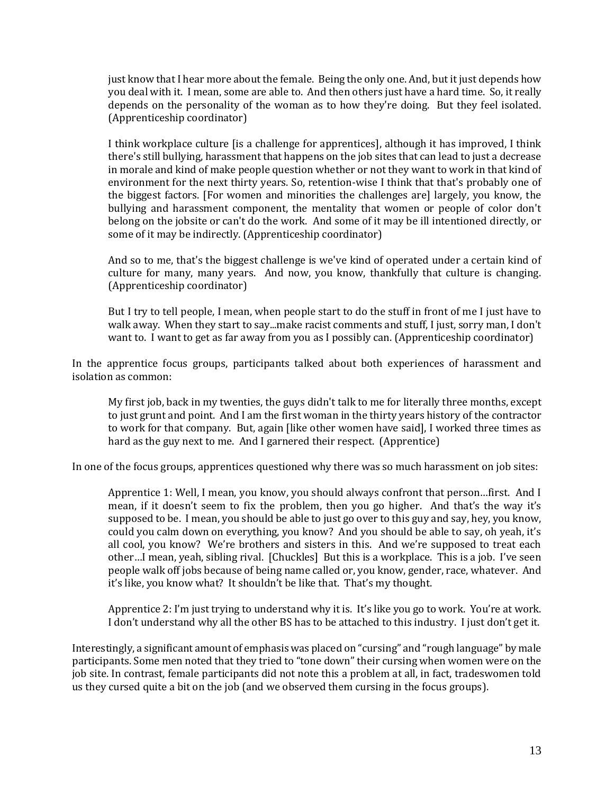just know that I hear more about the female. Being the only one. And, but it just depends how you deal with it. I mean, some are able to. And then others just have a hard time. So, it really depends on the personality of the woman as to how they're doing. But they feel isolated. (Apprenticeship coordinator)

I think workplace culture [is a challenge for apprentices], although it has improved, I think there's still bullying, harassment that happens on the job sites that can lead to just a decrease in morale and kind of make people question whether or not they want to work in that kind of environment for the next thirty years. So, retention-wise I think that that's probably one of the biggest factors. [For women and minorities the challenges are] largely, you know, the bullying and harassment component, the mentality that women or people of color don't belong on the jobsite or can't do the work. And some of it may be ill intentioned directly, or some of it may be indirectly. (Apprenticeship coordinator)

And so to me, that's the biggest challenge is we've kind of operated under a certain kind of culture for many, many years. And now, you know, thankfully that culture is changing. (Apprenticeship coordinator)

But I try to tell people, I mean, when people start to do the stuff in front of me I just have to walk away. When they start to say...make racist comments and stuff, I just, sorry man, I don't want to. I want to get as far away from you as I possibly can. (Apprenticeship coordinator)

In the apprentice focus groups, participants talked about both experiences of harassment and isolation as common:

My first job, back in my twenties, the guys didn't talk to me for literally three months, except to just grunt and point. And I am the first woman in the thirty years history of the contractor to work for that company. But, again [like other women have said], I worked three times as hard as the guy next to me. And I garnered their respect. (Apprentice)

In one of the focus groups, apprentices questioned why there was so much harassment on job sites:

Apprentice 1: Well, I mean, you know, you should always confront that person…first. And I mean, if it doesn't seem to fix the problem, then you go higher. And that's the way it's supposed to be. I mean, you should be able to just go over to this guy and say, hey, you know, could you calm down on everything, you know? And you should be able to say, oh yeah, it's all cool, you know? We're brothers and sisters in this. And we're supposed to treat each other…I mean, yeah, sibling rival. [Chuckles] But this is a workplace. This is a job. I've seen people walk off jobs because of being name called or, you know, gender, race, whatever. And it's like, you know what? It shouldn't be like that. That's my thought.

Apprentice 2: I'm just trying to understand why it is. It's like you go to work. You're at work. I don't understand why all the other BS has to be attached to this industry. I just don't get it.

Interestingly, a significant amount of emphasis was placed on "cursing" and "rough language" by male participants. Some men noted that they tried to "tone down" their cursing when women were on the job site. In contrast, female participants did not note this a problem at all, in fact, tradeswomen told us they cursed quite a bit on the job (and we observed them cursing in the focus groups).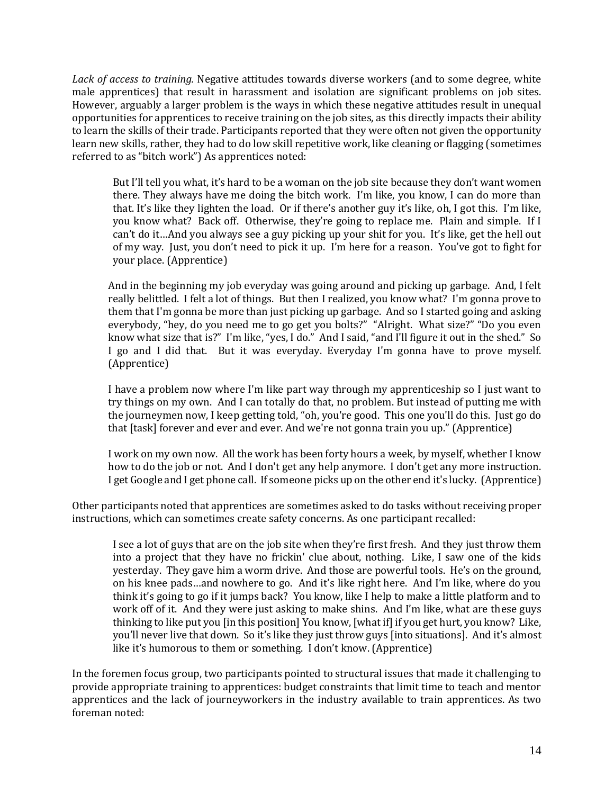*Lack of access to training.* Negative attitudes towards diverse workers (and to some degree, white male apprentices) that result in harassment and isolation are significant problems on job sites. However, arguably a larger problem is the ways in which these negative attitudes result in unequal opportunities for apprentices to receive training on the job sites, as this directly impacts their ability to learn the skills of their trade. Participants reported that they were often not given the opportunity learn new skills, rather, they had to do low skill repetitive work, like cleaning or flagging (sometimes referred to as "bitch work") As apprentices noted:

But I'll tell you what, it's hard to be a woman on the job site because they don't want women there. They always have me doing the bitch work. I'm like, you know, I can do more than that. It's like they lighten the load. Or if there's another guy it's like, oh, I got this. I'm like, you know what? Back off. Otherwise, they're going to replace me. Plain and simple. If I can't do it…And you always see a guy picking up your shit for you. It's like, get the hell out of my way. Just, you don't need to pick it up. I'm here for a reason. You've got to fight for your place. (Apprentice)

And in the beginning my job everyday was going around and picking up garbage. And, I felt really belittled. I felt a lot of things. But then I realized, you know what? I'm gonna prove to them that I'm gonna be more than just picking up garbage. And so I started going and asking everybody, "hey, do you need me to go get you bolts?" "Alright. What size?" "Do you even know what size that is?" I'm like, "yes, I do." And I said, "and I'll figure it out in the shed." So I go and I did that. But it was everyday. Everyday I'm gonna have to prove myself. (Apprentice)

I have a problem now where I'm like part way through my apprenticeship so I just want to try things on my own. And I can totally do that, no problem. But instead of putting me with the journeymen now, I keep getting told, "oh, you're good. This one you'll do this. Just go do that [task] forever and ever and ever. And we're not gonna train you up." (Apprentice)

I work on my own now. All the work has been forty hours a week, by myself, whether I know how to do the job or not. And I don't get any help anymore. I don't get any more instruction. I get Google and I get phone call. If someone picks up on the other end it's lucky. (Apprentice)

Other participants noted that apprentices are sometimes asked to do tasks without receiving proper instructions, which can sometimes create safety concerns. As one participant recalled:

I see a lot of guys that are on the job site when they're first fresh. And they just throw them into a project that they have no frickin' clue about, nothing. Like, I saw one of the kids yesterday. They gave him a worm drive. And those are powerful tools. He's on the ground, on his knee pads…and nowhere to go. And it's like right here. And I'm like, where do you think it's going to go if it jumps back? You know, like I help to make a little platform and to work off of it. And they were just asking to make shins. And I'm like, what are these guys thinking to like put you [in this position] You know, [what if] if you get hurt, you know? Like, you'll never live that down. So it's like they just throw guys [into situations]. And it's almost like it's humorous to them or something. I don't know. (Apprentice)

In the foremen focus group, two participants pointed to structural issues that made it challenging to provide appropriate training to apprentices: budget constraints that limit time to teach and mentor apprentices and the lack of journeyworkers in the industry available to train apprentices. As two foreman noted: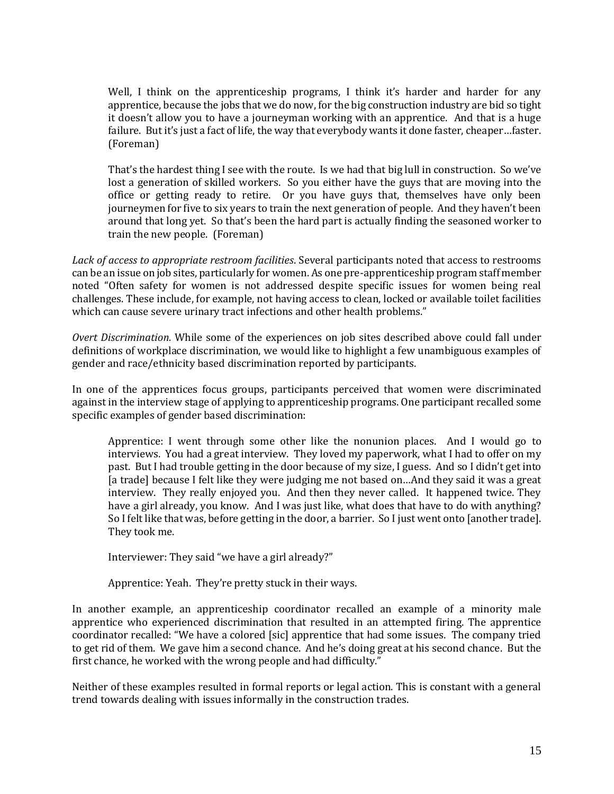Well, I think on the apprenticeship programs, I think it's harder and harder for any apprentice, because the jobs that we do now, for the big construction industry are bid so tight it doesn't allow you to have a journeyman working with an apprentice. And that is a huge failure. But it's just a fact of life, the way that everybody wants it done faster, cheaper…faster. (Foreman)

That's the hardest thing I see with the route. Is we had that big lull in construction. So we've lost a generation of skilled workers. So you either have the guys that are moving into the office or getting ready to retire. Or you have guys that, themselves have only been journeymen for five to six years to train the next generation of people. And they haven't been around that long yet. So that's been the hard part is actually finding the seasoned worker to train the new people. (Foreman)

*Lack of access to appropriate restroom facilities*. Several participants noted that access to restrooms can be an issue on job sites, particularly for women. As one pre-apprenticeship program staff member noted "Often safety for women is not addressed despite specific issues for women being real challenges. These include, for example, not having access to clean, locked or available toilet facilities which can cause severe urinary tract infections and other health problems."

*Overt Discrimination.* While some of the experiences on job sites described above could fall under definitions of workplace discrimination, we would like to highlight a few unambiguous examples of gender and race/ethnicity based discrimination reported by participants.

In one of the apprentices focus groups, participants perceived that women were discriminated against in the interview stage of applying to apprenticeship programs. One participant recalled some specific examples of gender based discrimination:

Apprentice: I went through some other like the nonunion places. And I would go to interviews. You had a great interview. They loved my paperwork, what I had to offer on my past. But I had trouble getting in the door because of my size, I guess. And so I didn't get into [a trade] because I felt like they were judging me not based on...And they said it was a great interview. They really enjoyed you. And then they never called. It happened twice. They have a girl already, you know. And I was just like, what does that have to do with anything? So I felt like that was, before getting in the door, a barrier. So I just went onto [another trade]. They took me.

Interviewer: They said "we have a girl already?"

Apprentice: Yeah. They're pretty stuck in their ways.

In another example, an apprenticeship coordinator recalled an example of a minority male apprentice who experienced discrimination that resulted in an attempted firing. The apprentice coordinator recalled: "We have a colored [sic] apprentice that had some issues. The company tried to get rid of them. We gave him a second chance. And he's doing great at his second chance. But the first chance, he worked with the wrong people and had difficulty."

Neither of these examples resulted in formal reports or legal action. This is constant with a general trend towards dealing with issues informally in the construction trades.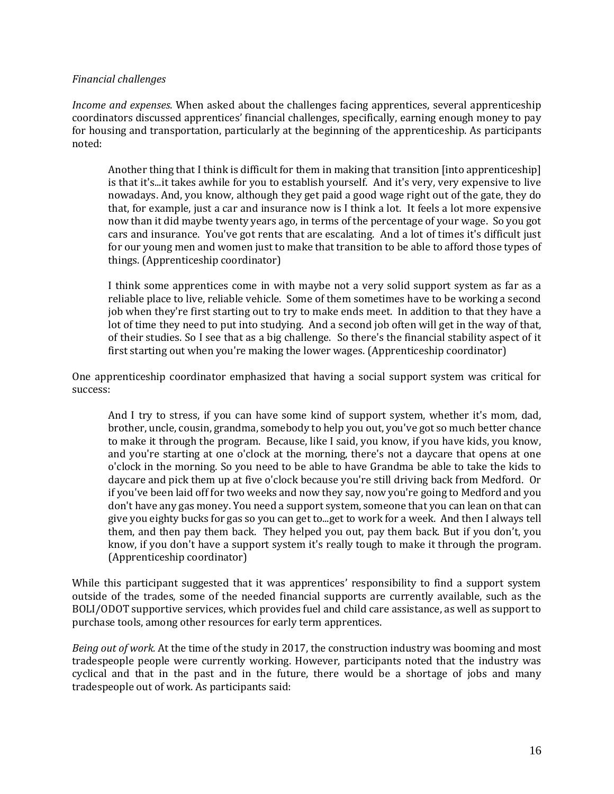### *Financial challenges*

*Income and expenses*. When asked about the challenges facing apprentices, several apprenticeship coordinators discussed apprentices' financial challenges, specifically, earning enough money to pay for housing and transportation, particularly at the beginning of the apprenticeship. As participants noted:

Another thing that I think is difficult for them in making that transition [into apprenticeship] is that it's...it takes awhile for you to establish yourself. And it's very, very expensive to live nowadays. And, you know, although they get paid a good wage right out of the gate, they do that, for example, just a car and insurance now is I think a lot. It feels a lot more expensive now than it did maybe twenty years ago, in terms of the percentage of your wage. So you got cars and insurance. You've got rents that are escalating. And a lot of times it's difficult just for our young men and women just to make that transition to be able to afford those types of things. (Apprenticeship coordinator)

I think some apprentices come in with maybe not a very solid support system as far as a reliable place to live, reliable vehicle. Some of them sometimes have to be working a second job when they're first starting out to try to make ends meet. In addition to that they have a lot of time they need to put into studying. And a second job often will get in the way of that, of their studies. So I see that as a big challenge. So there's the financial stability aspect of it first starting out when you're making the lower wages. (Apprenticeship coordinator)

One apprenticeship coordinator emphasized that having a social support system was critical for success:

And I try to stress, if you can have some kind of support system, whether it's mom, dad, brother, uncle, cousin, grandma, somebody to help you out, you've got so much better chance to make it through the program. Because, like I said, you know, if you have kids, you know, and you're starting at one o'clock at the morning, there's not a daycare that opens at one o'clock in the morning. So you need to be able to have Grandma be able to take the kids to daycare and pick them up at five o'clock because you're still driving back from Medford. Or if you've been laid off for two weeks and now they say, now you're going to Medford and you don't have any gas money. You need a support system, someone that you can lean on that can give you eighty bucks for gas so you can get to...get to work for a week. And then I always tell them, and then pay them back. They helped you out, pay them back. But if you don't, you know, if you don't have a support system it's really tough to make it through the program. (Apprenticeship coordinator)

While this participant suggested that it was apprentices' responsibility to find a support system outside of the trades, some of the needed financial supports are currently available, such as the BOLI/ODOT supportive services, which provides fuel and child care assistance, as well as support to purchase tools, among other resources for early term apprentices.

*Being out of work.* At the time of the study in 2017, the construction industry was booming and most tradespeople people were currently working. However, participants noted that the industry was cyclical and that in the past and in the future, there would be a shortage of jobs and many tradespeople out of work. As participants said: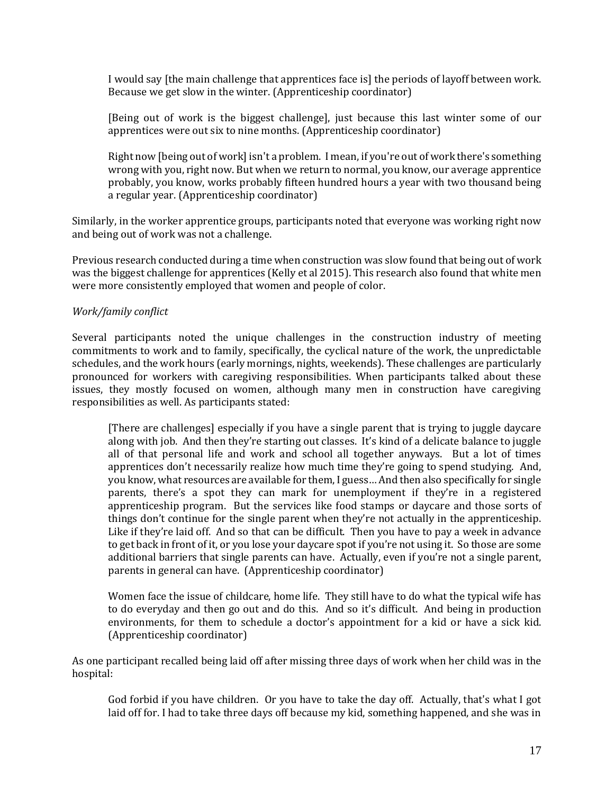I would say [the main challenge that apprentices face is] the periods of layoff between work. Because we get slow in the winter. (Apprenticeship coordinator)

[Being out of work is the biggest challenge], just because this last winter some of our apprentices were out six to nine months. (Apprenticeship coordinator)

Right now [being out of work] isn't a problem. I mean, if you're out of work there's something wrong with you, right now. But when we return to normal, you know, our average apprentice probably, you know, works probably fifteen hundred hours a year with two thousand being a regular year. (Apprenticeship coordinator)

Similarly, in the worker apprentice groups, participants noted that everyone was working right now and being out of work was not a challenge.

Previous research conducted during a time when construction was slow found that being out of work was the biggest challenge for apprentices (Kelly et al 2015). This research also found that white men were more consistently employed that women and people of color.

# *Work/family conflict*

Several participants noted the unique challenges in the construction industry of meeting commitments to work and to family, specifically, the cyclical nature of the work, the unpredictable schedules, and the work hours (early mornings, nights, weekends). These challenges are particularly pronounced for workers with caregiving responsibilities. When participants talked about these issues, they mostly focused on women, although many men in construction have caregiving responsibilities as well. As participants stated:

[There are challenges] especially if you have a single parent that is trying to juggle daycare along with job. And then they're starting out classes. It's kind of a delicate balance to juggle all of that personal life and work and school all together anyways. But a lot of times apprentices don't necessarily realize how much time they're going to spend studying. And, you know, what resources are available for them, I guess… And then also specifically for single parents, there's a spot they can mark for unemployment if they're in a registered apprenticeship program. But the services like food stamps or daycare and those sorts of things don't continue for the single parent when they're not actually in the apprenticeship. Like if they're laid off. And so that can be difficult. Then you have to pay a week in advance to get back in front of it, or you lose your daycare spot if you're not using it. So those are some additional barriers that single parents can have. Actually, even if you're not a single parent, parents in general can have. (Apprenticeship coordinator)

Women face the issue of childcare, home life. They still have to do what the typical wife has to do everyday and then go out and do this. And so it's difficult. And being in production environments, for them to schedule a doctor's appointment for a kid or have a sick kid. (Apprenticeship coordinator)

As one participant recalled being laid off after missing three days of work when her child was in the hospital:

God forbid if you have children. Or you have to take the day off. Actually, that's what I got laid off for. I had to take three days off because my kid, something happened, and she was in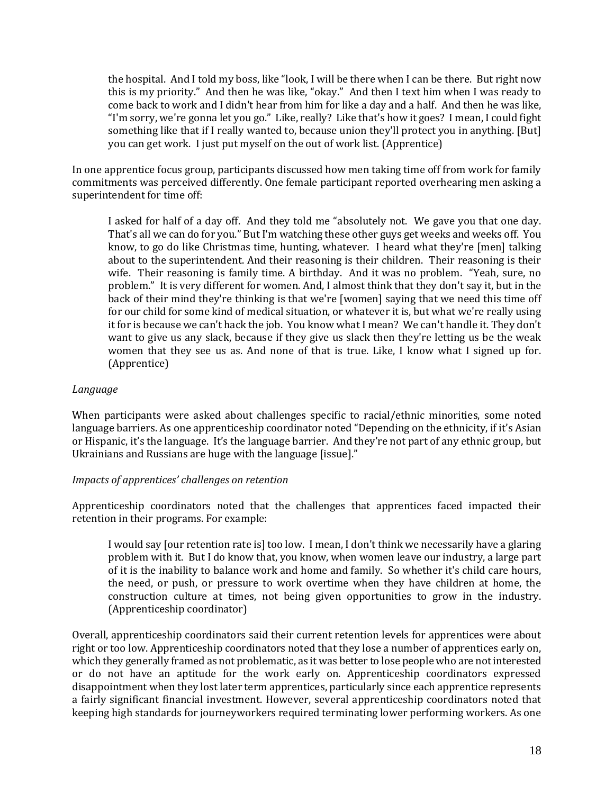the hospital. And I told my boss, like "look, I will be there when I can be there. But right now this is my priority." And then he was like, "okay." And then I text him when I was ready to come back to work and I didn't hear from him for like a day and a half. And then he was like, "I'm sorry, we're gonna let you go." Like, really? Like that's how it goes? I mean, I could fight something like that if I really wanted to, because union they'll protect you in anything. [But] you can get work. I just put myself on the out of work list. (Apprentice)

In one apprentice focus group, participants discussed how men taking time off from work for family commitments was perceived differently. One female participant reported overhearing men asking a superintendent for time off:

I asked for half of a day off. And they told me "absolutely not. We gave you that one day. That's all we can do for you." But I'm watching these other guys get weeks and weeks off. You know, to go do like Christmas time, hunting, whatever. I heard what they're [men] talking about to the superintendent. And their reasoning is their children. Their reasoning is their wife. Their reasoning is family time. A birthday. And it was no problem. "Yeah, sure, no problem." It is very different for women. And, I almost think that they don't say it, but in the back of their mind they're thinking is that we're [women] saying that we need this time off for our child for some kind of medical situation, or whatever it is, but what we're really using it for is because we can't hack the job. You know what I mean? We can't handle it. They don't want to give us any slack, because if they give us slack then they're letting us be the weak women that they see us as. And none of that is true. Like, I know what I signed up for. (Apprentice)

## *Language*

When participants were asked about challenges specific to racial/ethnic minorities, some noted language barriers. As one apprenticeship coordinator noted "Depending on the ethnicity, if it's Asian or Hispanic, it's the language. It's the language barrier. And they're not part of any ethnic group, but Ukrainians and Russians are huge with the language [issue]."

### *Impacts of apprentices' challenges on retention*

Apprenticeship coordinators noted that the challenges that apprentices faced impacted their retention in their programs. For example:

I would say [our retention rate is] too low. I mean, I don't think we necessarily have a glaring problem with it. But I do know that, you know, when women leave our industry, a large part of it is the inability to balance work and home and family. So whether it's child care hours, the need, or push, or pressure to work overtime when they have children at home, the construction culture at times, not being given opportunities to grow in the industry. (Apprenticeship coordinator)

Overall, apprenticeship coordinators said their current retention levels for apprentices were about right or too low. Apprenticeship coordinators noted that they lose a number of apprentices early on, which they generally framed as not problematic, as it was better to lose people who are not interested or do not have an aptitude for the work early on. Apprenticeship coordinators expressed disappointment when they lost later term apprentices, particularly since each apprentice represents a fairly significant financial investment. However, several apprenticeship coordinators noted that keeping high standards for journeyworkers required terminating lower performing workers. As one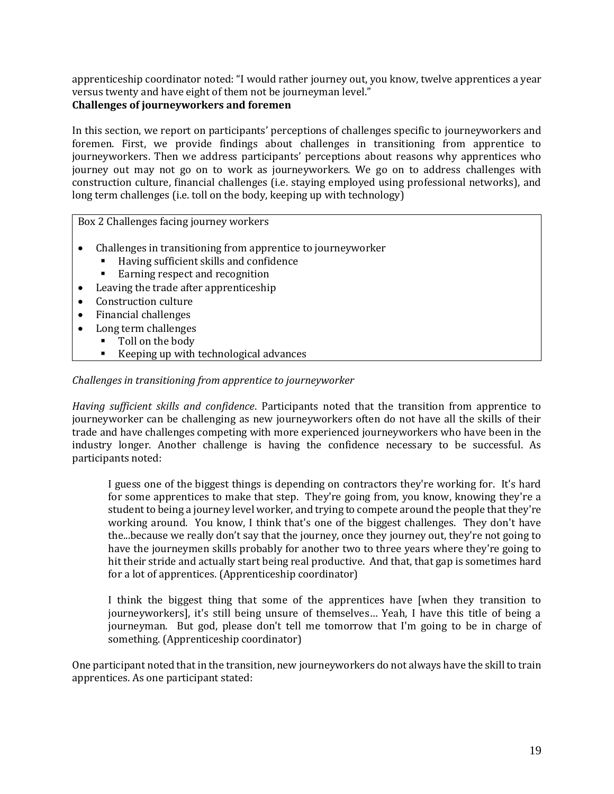apprenticeship coordinator noted: "I would rather journey out, you know, twelve apprentices a year versus twenty and have eight of them not be journeyman level."

# **Challenges of journeyworkers and foremen**

In this section, we report on participants' perceptions of challenges specific to journeyworkers and foremen. First, we provide findings about challenges in transitioning from apprentice to journeyworkers. Then we address participants' perceptions about reasons why apprentices who journey out may not go on to work as journeyworkers. We go on to address challenges with construction culture, financial challenges (i.e. staying employed using professional networks), and long term challenges (i.e. toll on the body, keeping up with technology)

Box 2 Challenges facing journey workers

- Challenges in transitioning from apprentice to journeyworker
	- Having sufficient skills and confidence
	- Earning respect and recognition
- Leaving the trade after apprenticeship
- Construction culture
- Financial challenges
- Long term challenges
	- Toll on the body
		- Keeping up with technological advances

# *Challenges in transitioning from apprentice to journeyworker*

*Having sufficient skills and confidence*. Participants noted that the transition from apprentice to journeyworker can be challenging as new journeyworkers often do not have all the skills of their trade and have challenges competing with more experienced journeyworkers who have been in the industry longer. Another challenge is having the confidence necessary to be successful. As participants noted:

I guess one of the biggest things is depending on contractors they're working for. It's hard for some apprentices to make that step. They're going from, you know, knowing they're a student to being a journey level worker, and trying to compete around the people that they're working around. You know, I think that's one of the biggest challenges. They don't have the...because we really don't say that the journey, once they journey out, they're not going to have the journeymen skills probably for another two to three years where they're going to hit their stride and actually start being real productive. And that, that gap is sometimes hard for a lot of apprentices. (Apprenticeship coordinator)

I think the biggest thing that some of the apprentices have [when they transition to journeyworkers], it's still being unsure of themselves… Yeah, I have this title of being a journeyman. But god, please don't tell me tomorrow that I'm going to be in charge of something. (Apprenticeship coordinator)

One participant noted that in the transition, new journeyworkers do not always have the skill to train apprentices. As one participant stated: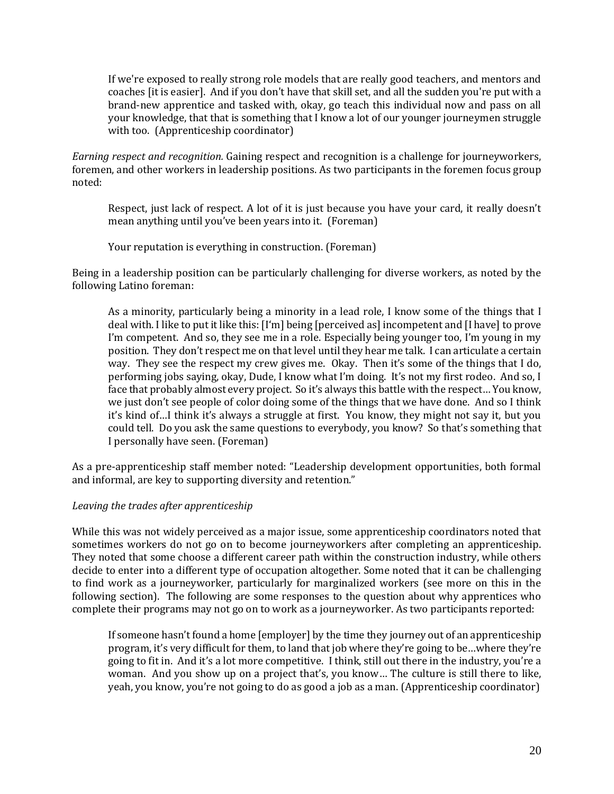If we're exposed to really strong role models that are really good teachers, and mentors and coaches [it is easier]. And if you don't have that skill set, and all the sudden you're put with a brand-new apprentice and tasked with, okay, go teach this individual now and pass on all your knowledge, that that is something that I know a lot of our younger journeymen struggle with too. (Apprenticeship coordinator)

*Earning respect and recognition.* Gaining respect and recognition is a challenge for journeyworkers, foremen, and other workers in leadership positions. As two participants in the foremen focus group noted:

Respect, just lack of respect. A lot of it is just because you have your card, it really doesn't mean anything until you've been years into it. (Foreman)

Your reputation is everything in construction. (Foreman)

Being in a leadership position can be particularly challenging for diverse workers, as noted by the following Latino foreman:

As a minority, particularly being a minority in a lead role, I know some of the things that I deal with. I like to put it like this: [I'm] being [perceived as] incompetent and [I have] to prove I'm competent. And so, they see me in a role. Especially being younger too, I'm young in my position. They don't respect me on that level until they hear me talk. I can articulate a certain way. They see the respect my crew gives me. Okay. Then it's some of the things that I do, performing jobs saying, okay, Dude, I know what I'm doing. It's not my first rodeo. And so, I face that probably almost every project. So it's always this battle with the respect… You know, we just don't see people of color doing some of the things that we have done. And so I think it's kind of…I think it's always a struggle at first. You know, they might not say it, but you could tell. Do you ask the same questions to everybody, you know? So that's something that I personally have seen. (Foreman)

As a pre-apprenticeship staff member noted: "Leadership development opportunities, both formal and informal, are key to supporting diversity and retention."

### *Leaving the trades after apprenticeship*

While this was not widely perceived as a major issue, some apprenticeship coordinators noted that sometimes workers do not go on to become journeyworkers after completing an apprenticeship. They noted that some choose a different career path within the construction industry, while others decide to enter into a different type of occupation altogether. Some noted that it can be challenging to find work as a journeyworker, particularly for marginalized workers (see more on this in the following section). The following are some responses to the question about why apprentices who complete their programs may not go on to work as a journeyworker. As two participants reported:

If someone hasn't found a home [employer] by the time they journey out of an apprenticeship program, it's very difficult for them, to land that job where they're going to be…where they're going to fit in. And it's a lot more competitive. I think, still out there in the industry, you're a woman. And you show up on a project that's, you know… The culture is still there to like, yeah, you know, you're not going to do as good a job as a man. (Apprenticeship coordinator)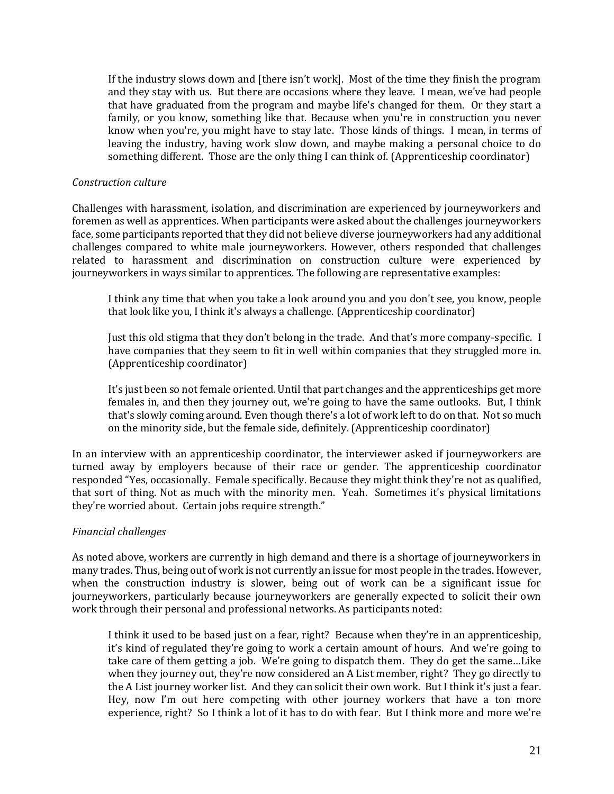If the industry slows down and [there isn't work]. Most of the time they finish the program and they stay with us. But there are occasions where they leave. I mean, we've had people that have graduated from the program and maybe life's changed for them. Or they start a family, or you know, something like that. Because when you're in construction you never know when you're, you might have to stay late. Those kinds of things. I mean, in terms of leaving the industry, having work slow down, and maybe making a personal choice to do something different. Those are the only thing I can think of. (Apprenticeship coordinator)

### *Construction culture*

Challenges with harassment, isolation, and discrimination are experienced by journeyworkers and foremen as well as apprentices. When participants were asked about the challenges journeyworkers face, some participants reported that they did not believe diverse journeyworkers had any additional challenges compared to white male journeyworkers. However, others responded that challenges related to harassment and discrimination on construction culture were experienced by journeyworkers in ways similar to apprentices. The following are representative examples:

I think any time that when you take a look around you and you don't see, you know, people that look like you, I think it's always a challenge. (Apprenticeship coordinator)

Just this old stigma that they don't belong in the trade. And that's more company-specific. I have companies that they seem to fit in well within companies that they struggled more in. (Apprenticeship coordinator)

It's just been so not female oriented. Until that part changes and the apprenticeships get more females in, and then they journey out, we're going to have the same outlooks. But, I think that's slowly coming around. Even though there's a lot of work left to do on that. Not so much on the minority side, but the female side, definitely. (Apprenticeship coordinator)

In an interview with an apprenticeship coordinator, the interviewer asked if journeyworkers are turned away by employers because of their race or gender. The apprenticeship coordinator responded "Yes, occasionally. Female specifically. Because they might think they're not as qualified, that sort of thing. Not as much with the minority men. Yeah. Sometimes it's physical limitations they're worried about. Certain jobs require strength."

### *Financial challenges*

As noted above, workers are currently in high demand and there is a shortage of journeyworkers in many trades. Thus, being out of work is not currently an issue for most people in the trades. However, when the construction industry is slower, being out of work can be a significant issue for journeyworkers, particularly because journeyworkers are generally expected to solicit their own work through their personal and professional networks. As participants noted:

I think it used to be based just on a fear, right? Because when they're in an apprenticeship, it's kind of regulated they're going to work a certain amount of hours. And we're going to take care of them getting a job. We're going to dispatch them. They do get the same…Like when they journey out, they're now considered an A List member, right? They go directly to the A List journey worker list. And they can solicit their own work. But I think it's just a fear. Hey, now I'm out here competing with other journey workers that have a ton more experience, right? So I think a lot of it has to do with fear. But I think more and more we're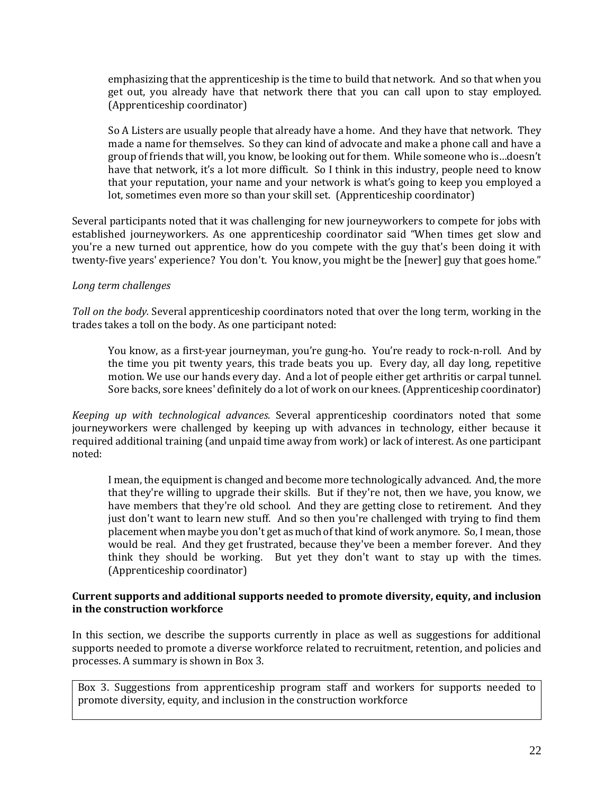emphasizing that the apprenticeship is the time to build that network. And so that when you get out, you already have that network there that you can call upon to stay employed. (Apprenticeship coordinator)

So A Listers are usually people that already have a home. And they have that network. They made a name for themselves. So they can kind of advocate and make a phone call and have a group of friends that will, you know, be looking out for them. While someone who is…doesn't have that network, it's a lot more difficult. So I think in this industry, people need to know that your reputation, your name and your network is what's going to keep you employed a lot, sometimes even more so than your skill set. (Apprenticeship coordinator)

Several participants noted that it was challenging for new journeyworkers to compete for jobs with established journeyworkers. As one apprenticeship coordinator said "When times get slow and you're a new turned out apprentice, how do you compete with the guy that's been doing it with twenty-five years' experience? You don't. You know, you might be the [newer] guy that goes home."

# *Long term challenges*

*Toll on the body.* Several apprenticeship coordinators noted that over the long term, working in the trades takes a toll on the body. As one participant noted:

You know, as a first-year journeyman, you're gung-ho. You're ready to rock-n-roll. And by the time you pit twenty years, this trade beats you up. Every day, all day long, repetitive motion. We use our hands every day. And a lot of people either get arthritis or carpal tunnel. Sore backs, sore knees' definitely do a lot of work on our knees. (Apprenticeship coordinator)

*Keeping up with technological advances.* Several apprenticeship coordinators noted that some journeyworkers were challenged by keeping up with advances in technology, either because it required additional training (and unpaid time away from work) or lack of interest. As one participant noted:

I mean, the equipment is changed and become more technologically advanced. And, the more that they're willing to upgrade their skills. But if they're not, then we have, you know, we have members that they're old school. And they are getting close to retirement. And they just don't want to learn new stuff. And so then you're challenged with trying to find them placement when maybe you don't get as much of that kind of work anymore. So, I mean, those would be real. And they get frustrated, because they've been a member forever. And they think they should be working. But yet they don't want to stay up with the times. (Apprenticeship coordinator)

## **Current supports and additional supports needed to promote diversity, equity, and inclusion in the construction workforce**

In this section, we describe the supports currently in place as well as suggestions for additional supports needed to promote a diverse workforce related to recruitment, retention, and policies and processes. A summary is shown in Box 3.

Box 3. Suggestions from apprenticeship program staff and workers for supports needed to promote diversity, equity, and inclusion in the construction workforce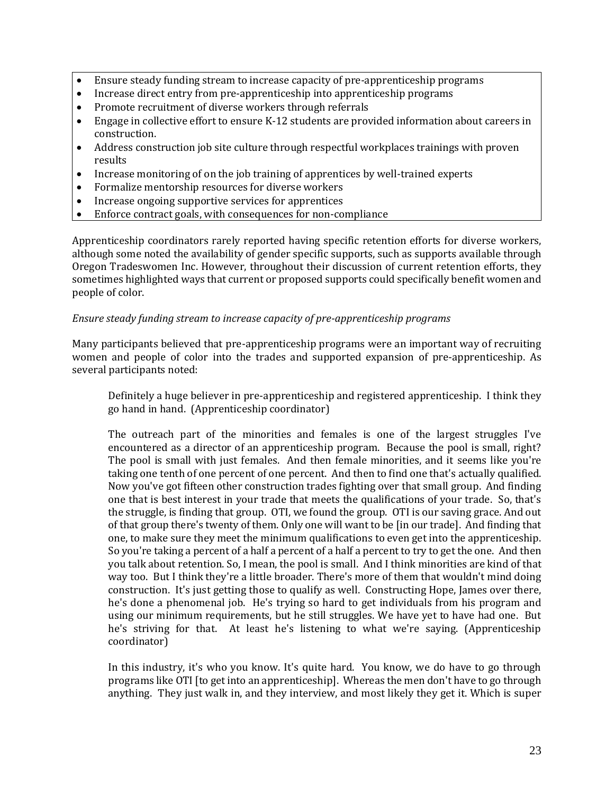- Ensure steady funding stream to increase capacity of pre-apprenticeship programs
- Increase direct entry from pre-apprenticeship into apprenticeship programs
- Promote recruitment of diverse workers through referrals
- Engage in collective effort to ensure K-12 students are provided information about careers in construction.
- Address construction job site culture through respectful workplaces trainings with proven results
- Increase monitoring of on the job training of apprentices by well-trained experts
- Formalize mentorship resources for diverse workers
- Increase ongoing supportive services for apprentices
- Enforce contract goals, with consequences for non-compliance

Apprenticeship coordinators rarely reported having specific retention efforts for diverse workers, although some noted the availability of gender specific supports, such as supports available through Oregon Tradeswomen Inc. However, throughout their discussion of current retention efforts, they sometimes highlighted ways that current or proposed supports could specifically benefit women and people of color.

### *Ensure steady funding stream to increase capacity of pre-apprenticeship programs*

Many participants believed that pre-apprenticeship programs were an important way of recruiting women and people of color into the trades and supported expansion of pre-apprenticeship. As several participants noted:

Definitely a huge believer in pre-apprenticeship and registered apprenticeship. I think they go hand in hand. (Apprenticeship coordinator)

The outreach part of the minorities and females is one of the largest struggles I've encountered as a director of an apprenticeship program. Because the pool is small, right? The pool is small with just females. And then female minorities, and it seems like you're taking one tenth of one percent of one percent. And then to find one that's actually qualified. Now you've got fifteen other construction trades fighting over that small group. And finding one that is best interest in your trade that meets the qualifications of your trade. So, that's the struggle, is finding that group. OTI, we found the group. OTI is our saving grace. And out of that group there's twenty of them. Only one will want to be [in our trade]. And finding that one, to make sure they meet the minimum qualifications to even get into the apprenticeship. So you're taking a percent of a half a percent of a half a percent to try to get the one. And then you talk about retention. So, I mean, the pool is small. And I think minorities are kind of that way too. But I think they're a little broader. There's more of them that wouldn't mind doing construction. It's just getting those to qualify as well. Constructing Hope, James over there, he's done a phenomenal job. He's trying so hard to get individuals from his program and using our minimum requirements, but he still struggles. We have yet to have had one. But he's striving for that. At least he's listening to what we're saying. (Apprenticeship coordinator)

In this industry, it's who you know. It's quite hard. You know, we do have to go through programs like OTI [to get into an apprenticeship]. Whereas the men don't have to go through anything. They just walk in, and they interview, and most likely they get it. Which is super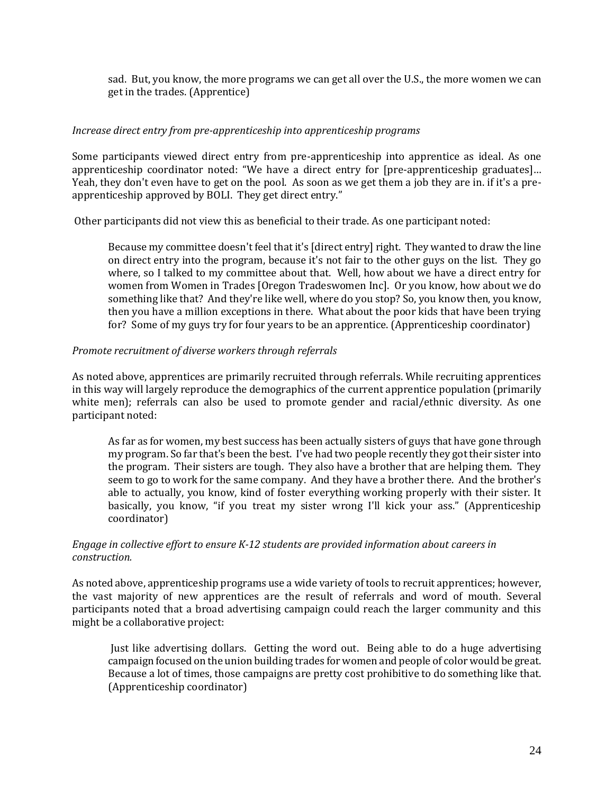sad. But, you know, the more programs we can get all over the U.S., the more women we can get in the trades. (Apprentice)

### *Increase direct entry from pre-apprenticeship into apprenticeship programs*

Some participants viewed direct entry from pre-apprenticeship into apprentice as ideal. As one apprenticeship coordinator noted: "We have a direct entry for [pre-apprenticeship graduates]… Yeah, they don't even have to get on the pool. As soon as we get them a job they are in. if it's a preapprenticeship approved by BOLI. They get direct entry."

Other participants did not view this as beneficial to their trade. As one participant noted:

Because my committee doesn't feel that it's [direct entry] right. They wanted to draw the line on direct entry into the program, because it's not fair to the other guys on the list. They go where, so I talked to my committee about that. Well, how about we have a direct entry for women from Women in Trades [Oregon Tradeswomen Inc]. Or you know, how about we do something like that? And they're like well, where do you stop? So, you know then, you know, then you have a million exceptions in there. What about the poor kids that have been trying for? Some of my guys try for four years to be an apprentice. (Apprenticeship coordinator)

## *Promote recruitment of diverse workers through referrals*

As noted above, apprentices are primarily recruited through referrals. While recruiting apprentices in this way will largely reproduce the demographics of the current apprentice population (primarily white men); referrals can also be used to promote gender and racial/ethnic diversity. As one participant noted:

As far as for women, my best success has been actually sisters of guys that have gone through my program. So far that's been the best. I've had two people recently they got their sister into the program. Their sisters are tough. They also have a brother that are helping them. They seem to go to work for the same company. And they have a brother there. And the brother's able to actually, you know, kind of foster everything working properly with their sister. It basically, you know, "if you treat my sister wrong I'll kick your ass." (Apprenticeship coordinator)

## *Engage in collective effort to ensure K-12 students are provided information about careers in construction.*

As noted above, apprenticeship programs use a wide variety of tools to recruit apprentices; however, the vast majority of new apprentices are the result of referrals and word of mouth. Several participants noted that a broad advertising campaign could reach the larger community and this might be a collaborative project:

Just like advertising dollars. Getting the word out. Being able to do a huge advertising campaign focused on the union building trades for women and people of color would be great. Because a lot of times, those campaigns are pretty cost prohibitive to do something like that. (Apprenticeship coordinator)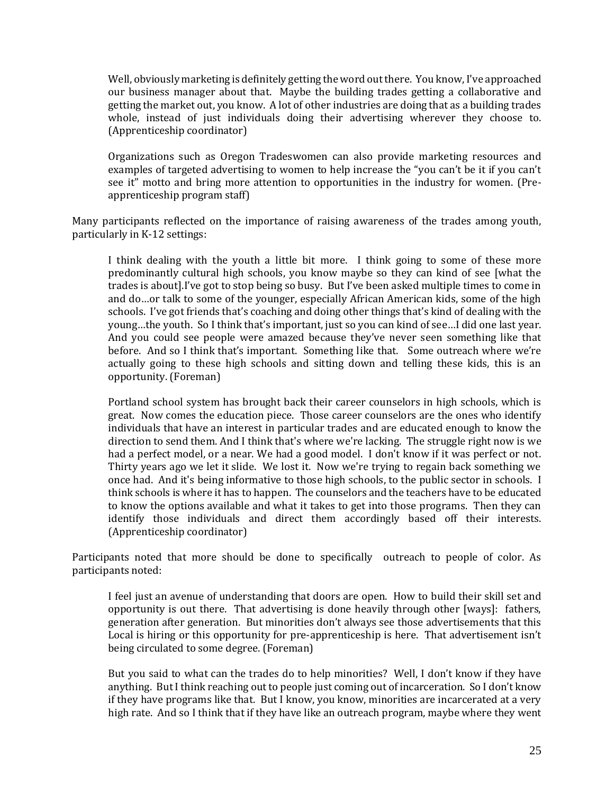Well, obviously marketing is definitely getting the word out there. You know, I've approached our business manager about that. Maybe the building trades getting a collaborative and getting the market out, you know. A lot of other industries are doing that as a building trades whole, instead of just individuals doing their advertising wherever they choose to. (Apprenticeship coordinator)

Organizations such as Oregon Tradeswomen can also provide marketing resources and examples of targeted advertising to women to help increase the "you can't be it if you can't see it" motto and bring more attention to opportunities in the industry for women. (Preapprenticeship program staff)

Many participants reflected on the importance of raising awareness of the trades among youth, particularly in K-12 settings:

I think dealing with the youth a little bit more. I think going to some of these more predominantly cultural high schools, you know maybe so they can kind of see [what the trades is about].I've got to stop being so busy. But I've been asked multiple times to come in and do…or talk to some of the younger, especially African American kids, some of the high schools. I've got friends that's coaching and doing other things that's kind of dealing with the young…the youth. So I think that's important, just so you can kind of see…I did one last year. And you could see people were amazed because they've never seen something like that before. And so I think that's important. Something like that. Some outreach where we're actually going to these high schools and sitting down and telling these kids, this is an opportunity. (Foreman)

Portland school system has brought back their career counselors in high schools, which is great. Now comes the education piece. Those career counselors are the ones who identify individuals that have an interest in particular trades and are educated enough to know the direction to send them. And I think that's where we're lacking. The struggle right now is we had a perfect model, or a near. We had a good model. I don't know if it was perfect or not. Thirty years ago we let it slide. We lost it. Now we're trying to regain back something we once had. And it's being informative to those high schools, to the public sector in schools. I think schools is where it has to happen. The counselors and the teachers have to be educated to know the options available and what it takes to get into those programs. Then they can identify those individuals and direct them accordingly based off their interests. (Apprenticeship coordinator)

Participants noted that more should be done to specifically outreach to people of color. As participants noted:

I feel just an avenue of understanding that doors are open. How to build their skill set and opportunity is out there. That advertising is done heavily through other [ways]: fathers, generation after generation. But minorities don't always see those advertisements that this Local is hiring or this opportunity for pre-apprenticeship is here. That advertisement isn't being circulated to some degree. (Foreman)

But you said to what can the trades do to help minorities? Well, I don't know if they have anything. But I think reaching out to people just coming out of incarceration. So I don't know if they have programs like that. But I know, you know, minorities are incarcerated at a very high rate. And so I think that if they have like an outreach program, maybe where they went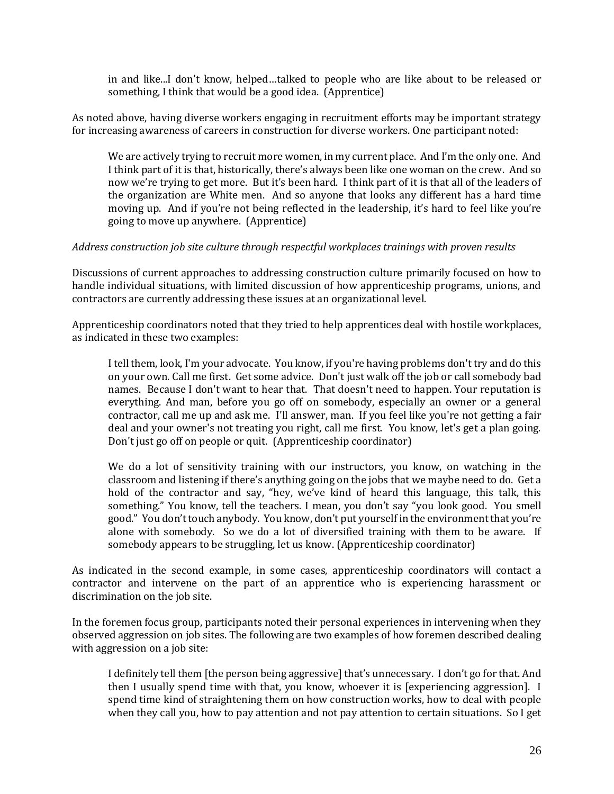in and like...I don't know, helped…talked to people who are like about to be released or something, I think that would be a good idea. (Apprentice)

As noted above, having diverse workers engaging in recruitment efforts may be important strategy for increasing awareness of careers in construction for diverse workers. One participant noted:

We are actively trying to recruit more women, in my current place. And I'm the only one. And I think part of it is that, historically, there's always been like one woman on the crew. And so now we're trying to get more. But it's been hard. I think part of it is that all of the leaders of the organization are White men. And so anyone that looks any different has a hard time moving up. And if you're not being reflected in the leadership, it's hard to feel like you're going to move up anywhere. (Apprentice)

## *Address construction job site culture through respectful workplaces trainings with proven results*

Discussions of current approaches to addressing construction culture primarily focused on how to handle individual situations, with limited discussion of how apprenticeship programs, unions, and contractors are currently addressing these issues at an organizational level.

Apprenticeship coordinators noted that they tried to help apprentices deal with hostile workplaces, as indicated in these two examples:

I tell them, look, I'm your advocate. You know, if you're having problems don't try and do this on your own. Call me first. Get some advice. Don't just walk off the job or call somebody bad names. Because I don't want to hear that. That doesn't need to happen. Your reputation is everything. And man, before you go off on somebody, especially an owner or a general contractor, call me up and ask me. I'll answer, man. If you feel like you're not getting a fair deal and your owner's not treating you right, call me first. You know, let's get a plan going. Don't just go off on people or quit. (Apprenticeship coordinator)

We do a lot of sensitivity training with our instructors, you know, on watching in the classroom and listening if there's anything going on the jobs that we maybe need to do. Get a hold of the contractor and say, "hey, we've kind of heard this language, this talk, this something." You know, tell the teachers. I mean, you don't say "you look good. You smell good." You don't touch anybody. You know, don't put yourself in the environment that you're alone with somebody. So we do a lot of diversified training with them to be aware. If somebody appears to be struggling, let us know. (Apprenticeship coordinator)

As indicated in the second example, in some cases, apprenticeship coordinators will contact a contractor and intervene on the part of an apprentice who is experiencing harassment or discrimination on the job site.

In the foremen focus group, participants noted their personal experiences in intervening when they observed aggression on job sites. The following are two examples of how foremen described dealing with aggression on a job site:

I definitely tell them [the person being aggressive] that's unnecessary. I don't go for that. And then I usually spend time with that, you know, whoever it is [experiencing aggression]. I spend time kind of straightening them on how construction works, how to deal with people when they call you, how to pay attention and not pay attention to certain situations. So I get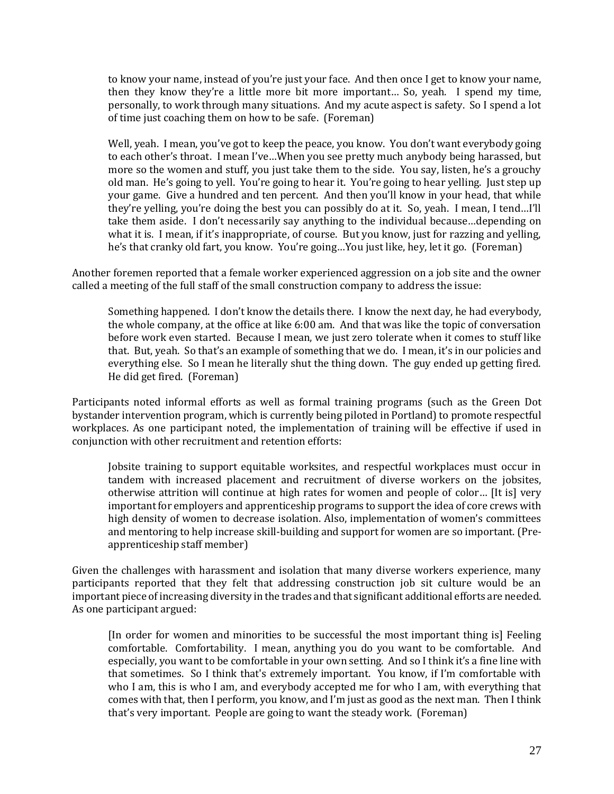to know your name, instead of you're just your face. And then once I get to know your name, then they know they're a little more bit more important… So, yeah. I spend my time, personally, to work through many situations. And my acute aspect is safety. So I spend a lot of time just coaching them on how to be safe. (Foreman)

Well, yeah. I mean, you've got to keep the peace, you know. You don't want everybody going to each other's throat. I mean I've…When you see pretty much anybody being harassed, but more so the women and stuff, you just take them to the side. You say, listen, he's a grouchy old man. He's going to yell. You're going to hear it. You're going to hear yelling. Just step up your game. Give a hundred and ten percent. And then you'll know in your head, that while they're yelling, you're doing the best you can possibly do at it. So, yeah. I mean, I tend…I'll take them aside. I don't necessarily say anything to the individual because…depending on what it is. I mean, if it's inappropriate, of course. But you know, just for razzing and yelling, he's that cranky old fart, you know. You're going…You just like, hey, let it go. (Foreman)

Another foremen reported that a female worker experienced aggression on a job site and the owner called a meeting of the full staff of the small construction company to address the issue:

Something happened. I don't know the details there. I know the next day, he had everybody, the whole company, at the office at like 6:00 am. And that was like the topic of conversation before work even started. Because I mean, we just zero tolerate when it comes to stuff like that. But, yeah. So that's an example of something that we do. I mean, it's in our policies and everything else. So I mean he literally shut the thing down. The guy ended up getting fired. He did get fired. (Foreman)

Participants noted informal efforts as well as formal training programs (such as the Green Dot bystander intervention program, which is currently being piloted in Portland) to promote respectful workplaces. As one participant noted, the implementation of training will be effective if used in conjunction with other recruitment and retention efforts:

Jobsite training to support equitable worksites, and respectful workplaces must occur in tandem with increased placement and recruitment of diverse workers on the jobsites, otherwise attrition will continue at high rates for women and people of color… [It is] very important for employers and apprenticeship programs to support the idea of core crews with high density of women to decrease isolation. Also, implementation of women's committees and mentoring to help increase skill-building and support for women are so important. (Preapprenticeship staff member)

Given the challenges with harassment and isolation that many diverse workers experience, many participants reported that they felt that addressing construction job sit culture would be an important piece of increasing diversity in the trades and that significant additional efforts are needed. As one participant argued:

[In order for women and minorities to be successful the most important thing is] Feeling comfortable. Comfortability. I mean, anything you do you want to be comfortable. And especially, you want to be comfortable in your own setting. And so I think it's a fine line with that sometimes. So I think that's extremely important. You know, if I'm comfortable with who I am, this is who I am, and everybody accepted me for who I am, with everything that comes with that, then I perform, you know, and I'm just as good as the next man. Then I think that's very important. People are going to want the steady work. (Foreman)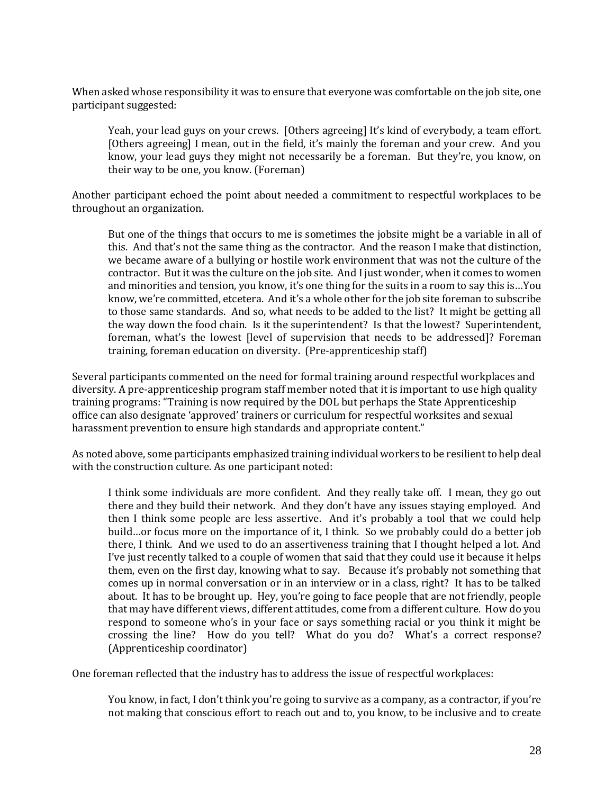When asked whose responsibility it was to ensure that everyone was comfortable on the job site, one participant suggested:

Yeah, your lead guys on your crews. [Others agreeing] It's kind of everybody, a team effort. [Others agreeing] I mean, out in the field, it's mainly the foreman and your crew. And you know, your lead guys they might not necessarily be a foreman. But they're, you know, on their way to be one, you know. (Foreman)

Another participant echoed the point about needed a commitment to respectful workplaces to be throughout an organization.

But one of the things that occurs to me is sometimes the jobsite might be a variable in all of this. And that's not the same thing as the contractor. And the reason I make that distinction, we became aware of a bullying or hostile work environment that was not the culture of the contractor. But it was the culture on the job site. And I just wonder, when it comes to women and minorities and tension, you know, it's one thing for the suits in a room to say this is…You know, we're committed, etcetera. And it's a whole other for the job site foreman to subscribe to those same standards. And so, what needs to be added to the list? It might be getting all the way down the food chain. Is it the superintendent? Is that the lowest? Superintendent, foreman, what's the lowest [level of supervision that needs to be addressed]? Foreman training, foreman education on diversity. (Pre-apprenticeship staff)

Several participants commented on the need for formal training around respectful workplaces and diversity. A pre-apprenticeship program staff member noted that it is important to use high quality training programs: "Training is now required by the DOL but perhaps the State Apprenticeship office can also designate 'approved' trainers or curriculum for respectful worksites and sexual harassment prevention to ensure high standards and appropriate content."

As noted above, some participants emphasized training individual workers to be resilient to help deal with the construction culture. As one participant noted:

I think some individuals are more confident. And they really take off. I mean, they go out there and they build their network. And they don't have any issues staying employed. And then I think some people are less assertive. And it's probably a tool that we could help build…or focus more on the importance of it, I think. So we probably could do a better job there, I think. And we used to do an assertiveness training that I thought helped a lot. And I've just recently talked to a couple of women that said that they could use it because it helps them, even on the first day, knowing what to say. Because it's probably not something that comes up in normal conversation or in an interview or in a class, right? It has to be talked about. It has to be brought up. Hey, you're going to face people that are not friendly, people that may have different views, different attitudes, come from a different culture. How do you respond to someone who's in your face or says something racial or you think it might be crossing the line? How do you tell? What do you do? What's a correct response? (Apprenticeship coordinator)

One foreman reflected that the industry has to address the issue of respectful workplaces:

You know, in fact, I don't think you're going to survive as a company, as a contractor, if you're not making that conscious effort to reach out and to, you know, to be inclusive and to create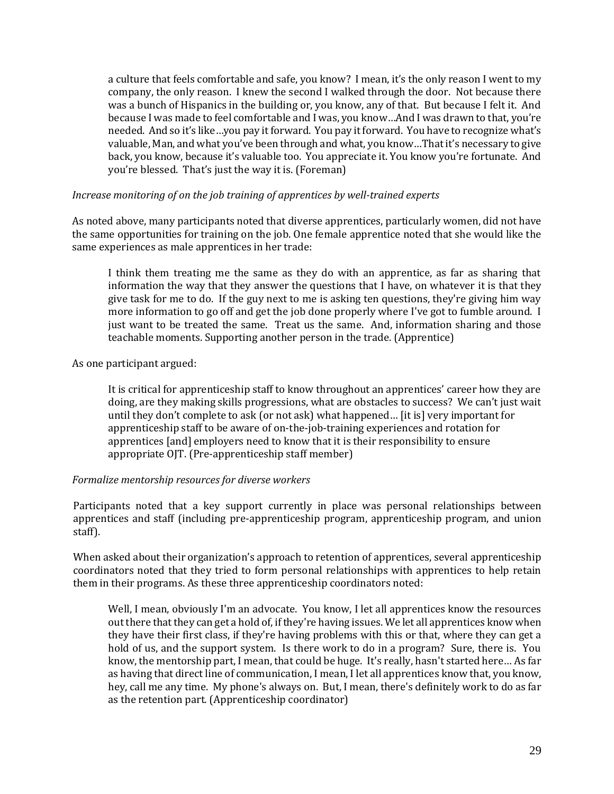a culture that feels comfortable and safe, you know? I mean, it's the only reason I went to my company, the only reason. I knew the second I walked through the door. Not because there was a bunch of Hispanics in the building or, you know, any of that. But because I felt it. And because I was made to feel comfortable and I was, you know…And I was drawn to that, you're needed. And so it's like…you pay it forward. You pay it forward. You have to recognize what's valuable, Man, and what you've been through and what, you know…That it's necessary to give back, you know, because it's valuable too. You appreciate it. You know you're fortunate. And you're blessed. That's just the way it is. (Foreman)

### *Increase monitoring of on the job training of apprentices by well-trained experts*

As noted above, many participants noted that diverse apprentices, particularly women, did not have the same opportunities for training on the job. One female apprentice noted that she would like the same experiences as male apprentices in her trade:

I think them treating me the same as they do with an apprentice, as far as sharing that information the way that they answer the questions that I have, on whatever it is that they give task for me to do. If the guy next to me is asking ten questions, they're giving him way more information to go off and get the job done properly where I've got to fumble around. I just want to be treated the same. Treat us the same. And, information sharing and those teachable moments. Supporting another person in the trade. (Apprentice)

As one participant argued:

It is critical for apprenticeship staff to know throughout an apprentices' career how they are doing, are they making skills progressions, what are obstacles to success? We can't just wait until they don't complete to ask (or not ask) what happened… [it is] very important for apprenticeship staff to be aware of on-the-job-training experiences and rotation for apprentices [and] employers need to know that it is their responsibility to ensure appropriate OJT. (Pre-apprenticeship staff member)

### *Formalize mentorship resources for diverse workers*

Participants noted that a key support currently in place was personal relationships between apprentices and staff (including pre-apprenticeship program, apprenticeship program, and union staff).

When asked about their organization's approach to retention of apprentices, several apprenticeship coordinators noted that they tried to form personal relationships with apprentices to help retain them in their programs. As these three apprenticeship coordinators noted:

Well, I mean, obviously I'm an advocate. You know, I let all apprentices know the resources out there that they can get a hold of, if they're having issues. We let all apprentices know when they have their first class, if they're having problems with this or that, where they can get a hold of us, and the support system. Is there work to do in a program? Sure, there is. You know, the mentorship part, I mean, that could be huge. It's really, hasn't started here… As far as having that direct line of communication, I mean, I let all apprentices know that, you know, hey, call me any time. My phone's always on. But, I mean, there's definitely work to do as far as the retention part. (Apprenticeship coordinator)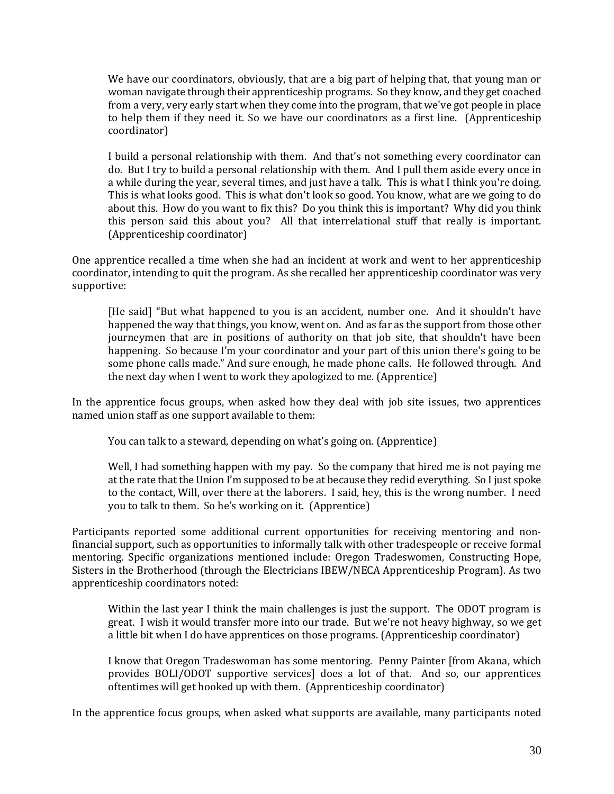We have our coordinators, obviously, that are a big part of helping that, that young man or woman navigate through their apprenticeship programs. So they know, and they get coached from a very, very early start when they come into the program, that we've got people in place to help them if they need it. So we have our coordinators as a first line. (Apprenticeship coordinator)

I build a personal relationship with them. And that's not something every coordinator can do. But I try to build a personal relationship with them. And I pull them aside every once in a while during the year, several times, and just have a talk. This is what I think you're doing. This is what looks good. This is what don't look so good. You know, what are we going to do about this. How do you want to fix this? Do you think this is important? Why did you think this person said this about you? All that interrelational stuff that really is important. (Apprenticeship coordinator)

One apprentice recalled a time when she had an incident at work and went to her apprenticeship coordinator, intending to quit the program. As she recalled her apprenticeship coordinator was very supportive:

[He said] "But what happened to you is an accident, number one. And it shouldn't have happened the way that things, you know, went on. And as far as the support from those other journeymen that are in positions of authority on that job site, that shouldn't have been happening. So because I'm your coordinator and your part of this union there's going to be some phone calls made." And sure enough, he made phone calls. He followed through. And the next day when I went to work they apologized to me. (Apprentice)

In the apprentice focus groups, when asked how they deal with job site issues, two apprentices named union staff as one support available to them:

You can talk to a steward, depending on what's going on. (Apprentice)

Well, I had something happen with my pay. So the company that hired me is not paying me at the rate that the Union I'm supposed to be at because they redid everything. So I just spoke to the contact, Will, over there at the laborers. I said, hey, this is the wrong number. I need you to talk to them. So he's working on it. (Apprentice)

Participants reported some additional current opportunities for receiving mentoring and nonfinancial support, such as opportunities to informally talk with other tradespeople or receive formal mentoring. Specific organizations mentioned include: Oregon Tradeswomen, Constructing Hope, Sisters in the Brotherhood (through the Electricians IBEW/NECA Apprenticeship Program). As two apprenticeship coordinators noted:

Within the last year I think the main challenges is just the support. The ODOT program is great. I wish it would transfer more into our trade. But we're not heavy highway, so we get a little bit when I do have apprentices on those programs. (Apprenticeship coordinator)

I know that Oregon Tradeswoman has some mentoring. Penny Painter [from Akana, which provides BOLI/ODOT supportive services] does a lot of that. And so, our apprentices oftentimes will get hooked up with them. (Apprenticeship coordinator)

In the apprentice focus groups, when asked what supports are available, many participants noted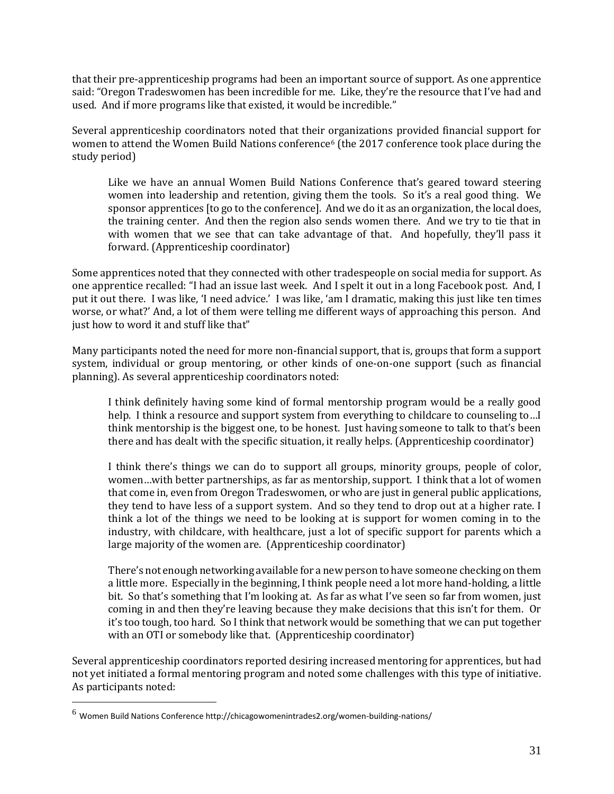that their pre-apprenticeship programs had been an important source of support. As one apprentice said: "Oregon Tradeswomen has been incredible for me. Like, they're the resource that I've had and used. And if more programs like that existed, it would be incredible."

Several apprenticeship coordinators noted that their organizations provided financial support for women to attend the Women Build Nations conference<sup>6</sup> (the 2017 conference took place during the study period)

Like we have an annual Women Build Nations Conference that's geared toward steering women into leadership and retention, giving them the tools. So it's a real good thing. We sponsor apprentices [to go to the conference]. And we do it as an organization, the local does, the training center. And then the region also sends women there. And we try to tie that in with women that we see that can take advantage of that. And hopefully, they'll pass it forward. (Apprenticeship coordinator)

Some apprentices noted that they connected with other tradespeople on social media for support. As one apprentice recalled: "I had an issue last week. And I spelt it out in a long Facebook post. And, I put it out there. I was like, 'I need advice.' I was like, 'am I dramatic, making this just like ten times worse, or what?' And, a lot of them were telling me different ways of approaching this person. And just how to word it and stuff like that"

Many participants noted the need for more non-financial support, that is, groups that form a support system, individual or group mentoring, or other kinds of one-on-one support (such as financial planning). As several apprenticeship coordinators noted:

I think definitely having some kind of formal mentorship program would be a really good help. I think a resource and support system from everything to childcare to counseling to…I think mentorship is the biggest one, to be honest. Just having someone to talk to that's been there and has dealt with the specific situation, it really helps. (Apprenticeship coordinator)

I think there's things we can do to support all groups, minority groups, people of color, women…with better partnerships, as far as mentorship, support. I think that a lot of women that come in, even from Oregon Tradeswomen, or who are just in general public applications, they tend to have less of a support system. And so they tend to drop out at a higher rate. I think a lot of the things we need to be looking at is support for women coming in to the industry, with childcare, with healthcare, just a lot of specific support for parents which a large majority of the women are. (Apprenticeship coordinator)

There's not enough networking available for a new person to have someone checking on them a little more. Especially in the beginning, I think people need a lot more hand-holding, a little bit. So that's something that I'm looking at. As far as what I've seen so far from women, just coming in and then they're leaving because they make decisions that this isn't for them. Or it's too tough, too hard. So I think that network would be something that we can put together with an OTI or somebody like that. (Apprenticeship coordinator)

Several apprenticeship coordinators reported desiring increased mentoring for apprentices, but had not yet initiated a formal mentoring program and noted some challenges with this type of initiative. As participants noted:

 $\overline{a}$ 

 $^6$  Women Build Nations Conference http://chicagowomenintrades2.org/women-building-nations/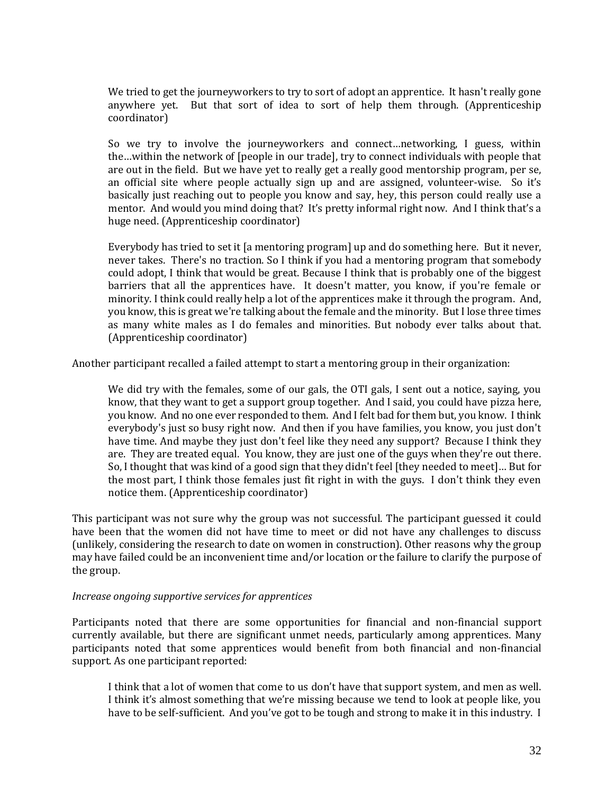We tried to get the journeyworkers to try to sort of adopt an apprentice. It hasn't really gone anywhere yet. But that sort of idea to sort of help them through. (Apprenticeship coordinator)

So we try to involve the journeyworkers and connect…networking, I guess, within the…within the network of [people in our trade], try to connect individuals with people that are out in the field. But we have yet to really get a really good mentorship program, per se, an official site where people actually sign up and are assigned, volunteer-wise. So it's basically just reaching out to people you know and say, hey, this person could really use a mentor. And would you mind doing that? It's pretty informal right now. And I think that's a huge need. (Apprenticeship coordinator)

Everybody has tried to set it [a mentoring program] up and do something here. But it never, never takes. There's no traction. So I think if you had a mentoring program that somebody could adopt, I think that would be great. Because I think that is probably one of the biggest barriers that all the apprentices have. It doesn't matter, you know, if you're female or minority. I think could really help a lot of the apprentices make it through the program. And, you know, this is great we're talking about the female and the minority. But I lose three times as many white males as I do females and minorities. But nobody ever talks about that. (Apprenticeship coordinator)

Another participant recalled a failed attempt to start a mentoring group in their organization:

We did try with the females, some of our gals, the OTI gals, I sent out a notice, saying, you know, that they want to get a support group together. And I said, you could have pizza here, you know. And no one ever responded to them. And I felt bad for them but, you know. I think everybody's just so busy right now. And then if you have families, you know, you just don't have time. And maybe they just don't feel like they need any support? Because I think they are. They are treated equal. You know, they are just one of the guys when they're out there. So, I thought that was kind of a good sign that they didn't feel [they needed to meet]… But for the most part, I think those females just fit right in with the guys. I don't think they even notice them. (Apprenticeship coordinator)

This participant was not sure why the group was not successful. The participant guessed it could have been that the women did not have time to meet or did not have any challenges to discuss (unlikely, considering the research to date on women in construction). Other reasons why the group may have failed could be an inconvenient time and/or location or the failure to clarify the purpose of the group.

### *Increase ongoing supportive services for apprentices*

Participants noted that there are some opportunities for financial and non-financial support currently available, but there are significant unmet needs, particularly among apprentices. Many participants noted that some apprentices would benefit from both financial and non-financial support. As one participant reported:

I think that a lot of women that come to us don't have that support system, and men as well. I think it's almost something that we're missing because we tend to look at people like, you have to be self-sufficient. And you've got to be tough and strong to make it in this industry. I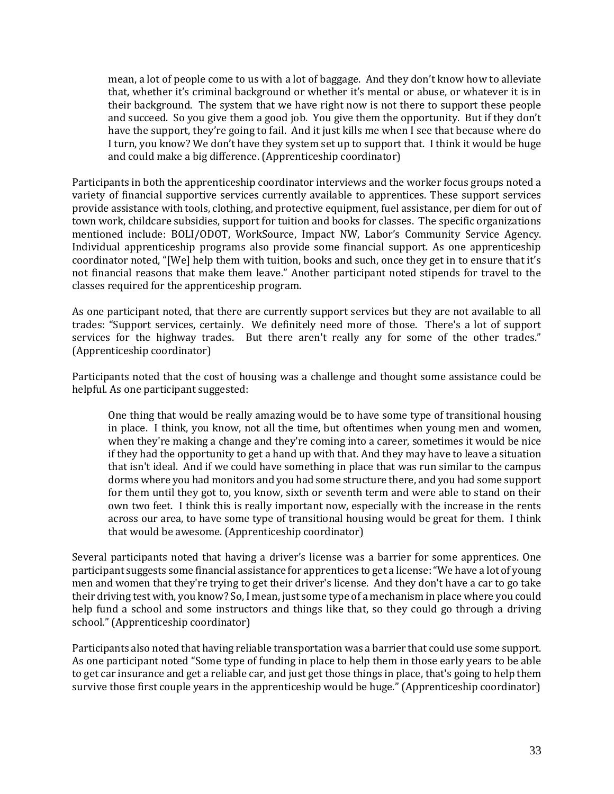mean, a lot of people come to us with a lot of baggage. And they don't know how to alleviate that, whether it's criminal background or whether it's mental or abuse, or whatever it is in their background. The system that we have right now is not there to support these people and succeed. So you give them a good job. You give them the opportunity. But if they don't have the support, they're going to fail. And it just kills me when I see that because where do I turn, you know? We don't have they system set up to support that. I think it would be huge and could make a big difference. (Apprenticeship coordinator)

Participants in both the apprenticeship coordinator interviews and the worker focus groups noted a variety of financial supportive services currently available to apprentices. These support services provide assistance with tools, clothing, and protective equipment, fuel assistance, per diem for out of town work, childcare subsidies, support for tuition and books for classes. The specific organizations mentioned include: BOLI/ODOT, WorkSource, Impact NW, Labor's Community Service Agency. Individual apprenticeship programs also provide some financial support. As one apprenticeship coordinator noted, "[We] help them with tuition, books and such, once they get in to ensure that it's not financial reasons that make them leave." Another participant noted stipends for travel to the classes required for the apprenticeship program.

As one participant noted, that there are currently support services but they are not available to all trades: "Support services, certainly. We definitely need more of those. There's a lot of support services for the highway trades. But there aren't really any for some of the other trades." (Apprenticeship coordinator)

Participants noted that the cost of housing was a challenge and thought some assistance could be helpful. As one participant suggested:

One thing that would be really amazing would be to have some type of transitional housing in place. I think, you know, not all the time, but oftentimes when young men and women, when they're making a change and they're coming into a career, sometimes it would be nice if they had the opportunity to get a hand up with that. And they may have to leave a situation that isn't ideal. And if we could have something in place that was run similar to the campus dorms where you had monitors and you had some structure there, and you had some support for them until they got to, you know, sixth or seventh term and were able to stand on their own two feet. I think this is really important now, especially with the increase in the rents across our area, to have some type of transitional housing would be great for them. I think that would be awesome. (Apprenticeship coordinator)

Several participants noted that having a driver's license was a barrier for some apprentices. One participant suggests some financial assistance for apprentices to get a license: "We have a lot of young men and women that they're trying to get their driver's license. And they don't have a car to go take their driving test with, you know? So, I mean, just some type of a mechanism in place where you could help fund a school and some instructors and things like that, so they could go through a driving school." (Apprenticeship coordinator)

Participants also noted that having reliable transportation was a barrier that could use some support. As one participant noted "Some type of funding in place to help them in those early years to be able to get car insurance and get a reliable car, and just get those things in place, that's going to help them survive those first couple years in the apprenticeship would be huge." (Apprenticeship coordinator)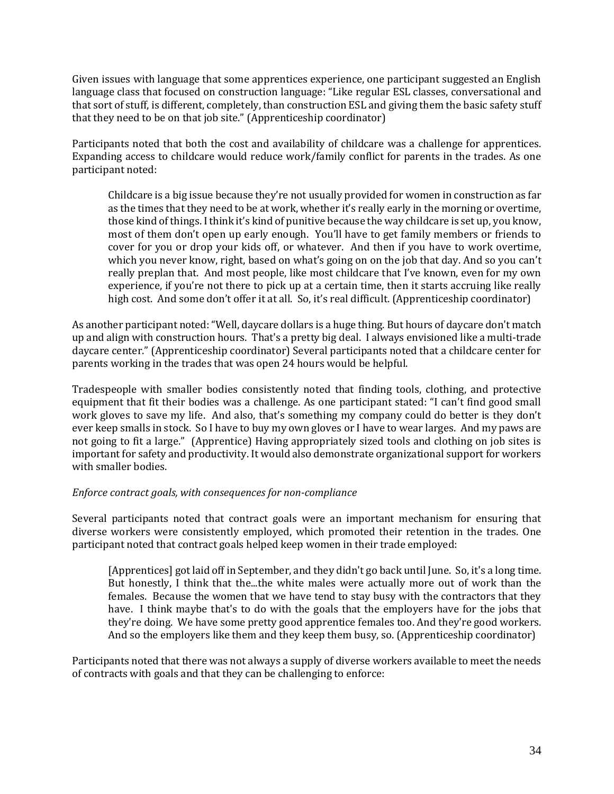Given issues with language that some apprentices experience, one participant suggested an English language class that focused on construction language: "Like regular ESL classes, conversational and that sort of stuff, is different, completely, than construction ESL and giving them the basic safety stuff that they need to be on that job site." (Apprenticeship coordinator)

Participants noted that both the cost and availability of childcare was a challenge for apprentices. Expanding access to childcare would reduce work/family conflict for parents in the trades. As one participant noted:

Childcare is a big issue because they're not usually provided for women in construction as far as the times that they need to be at work, whether it's really early in the morning or overtime, those kind of things. I think it's kind of punitive because the way childcare is set up, you know, most of them don't open up early enough. You'll have to get family members or friends to cover for you or drop your kids off, or whatever. And then if you have to work overtime, which you never know, right, based on what's going on on the job that day. And so you can't really preplan that. And most people, like most childcare that I've known, even for my own experience, if you're not there to pick up at a certain time, then it starts accruing like really high cost. And some don't offer it at all. So, it's real difficult. (Apprenticeship coordinator)

As another participant noted: "Well, daycare dollars is a huge thing. But hours of daycare don't match up and align with construction hours. That's a pretty big deal. I always envisioned like a multi-trade daycare center." (Apprenticeship coordinator) Several participants noted that a childcare center for parents working in the trades that was open 24 hours would be helpful.

Tradespeople with smaller bodies consistently noted that finding tools, clothing, and protective equipment that fit their bodies was a challenge. As one participant stated: "I can't find good small work gloves to save my life. And also, that's something my company could do better is they don't ever keep smalls in stock. So I have to buy my own gloves or I have to wear larges. And my paws are not going to fit a large." (Apprentice) Having appropriately sized tools and clothing on job sites is important for safety and productivity. It would also demonstrate organizational support for workers with smaller bodies.

### *Enforce contract goals, with consequences for non-compliance*

Several participants noted that contract goals were an important mechanism for ensuring that diverse workers were consistently employed, which promoted their retention in the trades. One participant noted that contract goals helped keep women in their trade employed:

[Apprentices] got laid off in September, and they didn't go back until June. So, it's a long time. But honestly, I think that the...the white males were actually more out of work than the females. Because the women that we have tend to stay busy with the contractors that they have. I think maybe that's to do with the goals that the employers have for the jobs that they're doing. We have some pretty good apprentice females too. And they're good workers. And so the employers like them and they keep them busy, so. (Apprenticeship coordinator)

Participants noted that there was not always a supply of diverse workers available to meet the needs of contracts with goals and that they can be challenging to enforce: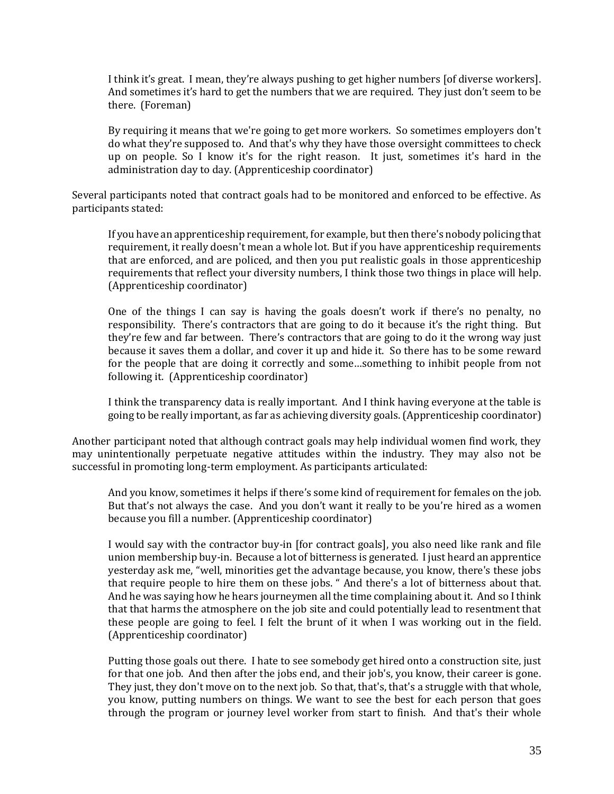I think it's great. I mean, they're always pushing to get higher numbers [of diverse workers]. And sometimes it's hard to get the numbers that we are required. They just don't seem to be there. (Foreman)

By requiring it means that we're going to get more workers. So sometimes employers don't do what they're supposed to. And that's why they have those oversight committees to check up on people. So I know it's for the right reason. It just, sometimes it's hard in the administration day to day. (Apprenticeship coordinator)

Several participants noted that contract goals had to be monitored and enforced to be effective. As participants stated:

If you have an apprenticeship requirement, for example, but then there's nobody policing that requirement, it really doesn't mean a whole lot. But if you have apprenticeship requirements that are enforced, and are policed, and then you put realistic goals in those apprenticeship requirements that reflect your diversity numbers, I think those two things in place will help. (Apprenticeship coordinator)

One of the things I can say is having the goals doesn't work if there's no penalty, no responsibility. There's contractors that are going to do it because it's the right thing. But they're few and far between. There's contractors that are going to do it the wrong way just because it saves them a dollar, and cover it up and hide it. So there has to be some reward for the people that are doing it correctly and some…something to inhibit people from not following it. (Apprenticeship coordinator)

I think the transparency data is really important. And I think having everyone at the table is going to be really important, as far as achieving diversity goals. (Apprenticeship coordinator)

Another participant noted that although contract goals may help individual women find work, they may unintentionally perpetuate negative attitudes within the industry. They may also not be successful in promoting long-term employment. As participants articulated:

And you know, sometimes it helps if there's some kind of requirement for females on the job. But that's not always the case. And you don't want it really to be you're hired as a women because you fill a number. (Apprenticeship coordinator)

I would say with the contractor buy-in [for contract goals], you also need like rank and file union membership buy-in. Because a lot of bitterness is generated. I just heard an apprentice yesterday ask me, "well, minorities get the advantage because, you know, there's these jobs that require people to hire them on these jobs. " And there's a lot of bitterness about that. And he was saying how he hears journeymen all the time complaining about it. And so I think that that harms the atmosphere on the job site and could potentially lead to resentment that these people are going to feel. I felt the brunt of it when I was working out in the field. (Apprenticeship coordinator)

Putting those goals out there. I hate to see somebody get hired onto a construction site, just for that one job. And then after the jobs end, and their job's, you know, their career is gone. They just, they don't move on to the next job. So that, that's, that's a struggle with that whole, you know, putting numbers on things. We want to see the best for each person that goes through the program or journey level worker from start to finish. And that's their whole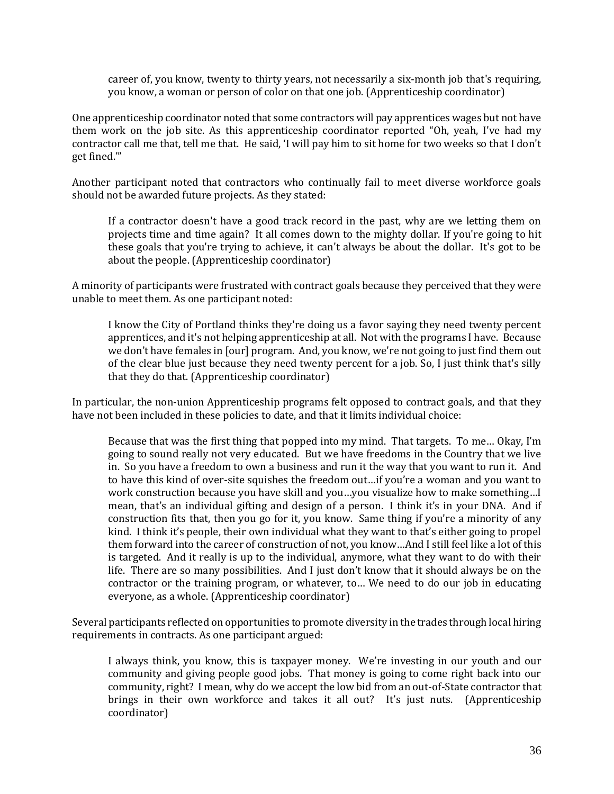career of, you know, twenty to thirty years, not necessarily a six-month job that's requiring, you know, a woman or person of color on that one job. (Apprenticeship coordinator)

One apprenticeship coordinator noted that some contractors will pay apprentices wages but not have them work on the job site. As this apprenticeship coordinator reported "Oh, yeah, I've had my contractor call me that, tell me that. He said, 'I will pay him to sit home for two weeks so that I don't get fined.'"

Another participant noted that contractors who continually fail to meet diverse workforce goals should not be awarded future projects. As they stated:

If a contractor doesn't have a good track record in the past, why are we letting them on projects time and time again? It all comes down to the mighty dollar. If you're going to hit these goals that you're trying to achieve, it can't always be about the dollar. It's got to be about the people. (Apprenticeship coordinator)

A minority of participants were frustrated with contract goals because they perceived that they were unable to meet them. As one participant noted:

I know the City of Portland thinks they're doing us a favor saying they need twenty percent apprentices, and it's not helping apprenticeship at all. Not with the programs I have. Because we don't have females in [our] program. And, you know, we're not going to just find them out of the clear blue just because they need twenty percent for a job. So, I just think that's silly that they do that. (Apprenticeship coordinator)

In particular, the non-union Apprenticeship programs felt opposed to contract goals, and that they have not been included in these policies to date, and that it limits individual choice:

Because that was the first thing that popped into my mind. That targets. To me… Okay, I'm going to sound really not very educated. But we have freedoms in the Country that we live in. So you have a freedom to own a business and run it the way that you want to run it. And to have this kind of over-site squishes the freedom out…if you're a woman and you want to work construction because you have skill and you…you visualize how to make something…I mean, that's an individual gifting and design of a person. I think it's in your DNA. And if construction fits that, then you go for it, you know. Same thing if you're a minority of any kind. I think it's people, their own individual what they want to that's either going to propel them forward into the career of construction of not, you know…And I still feel like a lot of this is targeted. And it really is up to the individual, anymore, what they want to do with their life. There are so many possibilities. And I just don't know that it should always be on the contractor or the training program, or whatever, to… We need to do our job in educating everyone, as a whole. (Apprenticeship coordinator)

Several participants reflected on opportunities to promote diversity in the trades through local hiring requirements in contracts. As one participant argued:

I always think, you know, this is taxpayer money. We're investing in our youth and our community and giving people good jobs. That money is going to come right back into our community, right? I mean, why do we accept the low bid from an out-of-State contractor that brings in their own workforce and takes it all out? It's just nuts. (Apprenticeship coordinator)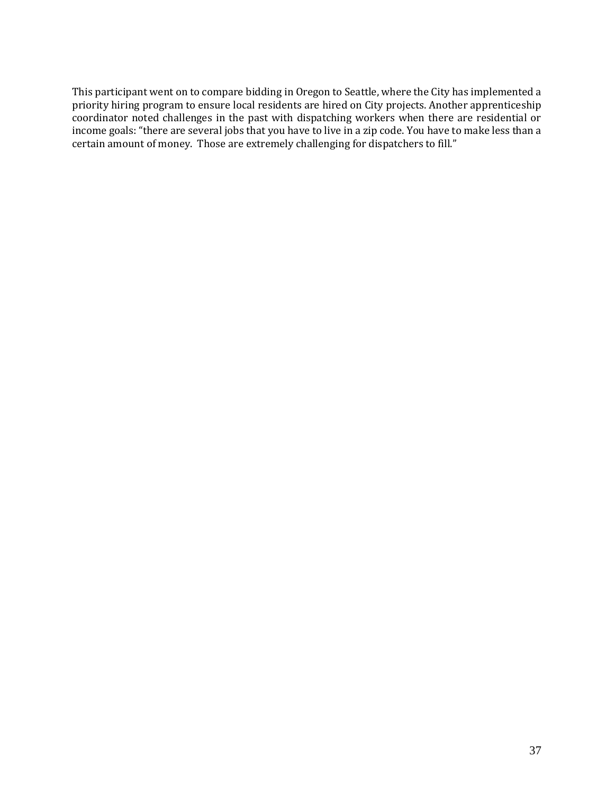This participant went on to compare bidding in Oregon to Seattle, where the City has implemented a priority hiring program to ensure local residents are hired on City projects. Another apprenticeship coordinator noted challenges in the past with dispatching workers when there are residential or income goals: "there are several jobs that you have to live in a zip code. You have to make less than a certain amount of money. Those are extremely challenging for dispatchers to fill."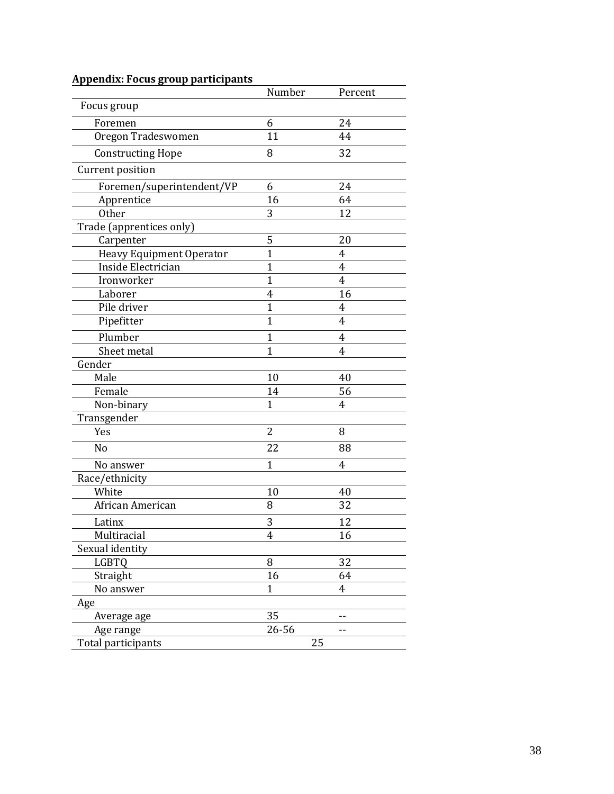|                                 | Number         | Percent        |
|---------------------------------|----------------|----------------|
| Focus group                     |                |                |
| Foremen                         | 6              | 24             |
| Oregon Tradeswomen              | 11             | 44             |
| <b>Constructing Hope</b>        | 8              | 32             |
| Current position                |                |                |
| Foremen/superintendent/VP       | 6              | 24             |
| Apprentice                      | 16             | 64             |
| <b>Other</b>                    | 3              | 12             |
| Trade (apprentices only)        |                |                |
| Carpenter                       | 5              | 20             |
| <b>Heavy Equipment Operator</b> | $\mathbf{1}$   | 4              |
| Inside Electrician              | $\mathbf{1}$   | 4              |
| Ironworker                      | $\mathbf{1}$   | $\overline{4}$ |
| Laborer                         | $\overline{4}$ | 16             |
| Pile driver                     | $\mathbf{1}$   | 4              |
| Pipefitter                      | $\overline{1}$ | 4              |
| Plumber                         | $\mathbf{1}$   | 4              |
| Sheet metal                     | $\overline{1}$ | 4              |
| Gender                          |                |                |
| Male                            | 10             | 40             |
| Female                          | 14             | 56             |
| Non-binary                      | $\mathbf{1}$   | 4              |
| Transgender                     |                |                |
| Yes                             | $\overline{2}$ | 8              |
| N <sub>o</sub>                  | 22             | 88             |
| No answer                       | $\mathbf{1}$   | 4              |
| Race/ethnicity                  |                |                |
| White                           | 10             | 40             |
| African American                | 8              | 32             |
| Latinx                          | 3              | 12             |
| Multiracial                     | 4              | 16             |
| Sexual identity                 |                |                |
| LGBTQ                           | 8              | 32             |
| Straight                        | 16             | 64             |
| No answer                       | $\mathbf{1}$   | 4              |
| Age                             |                |                |
| Average age                     | 35             |                |
| Age range                       | 26-56          | --             |
| Total participants              | 25             |                |

# **Appendix: Focus group participants**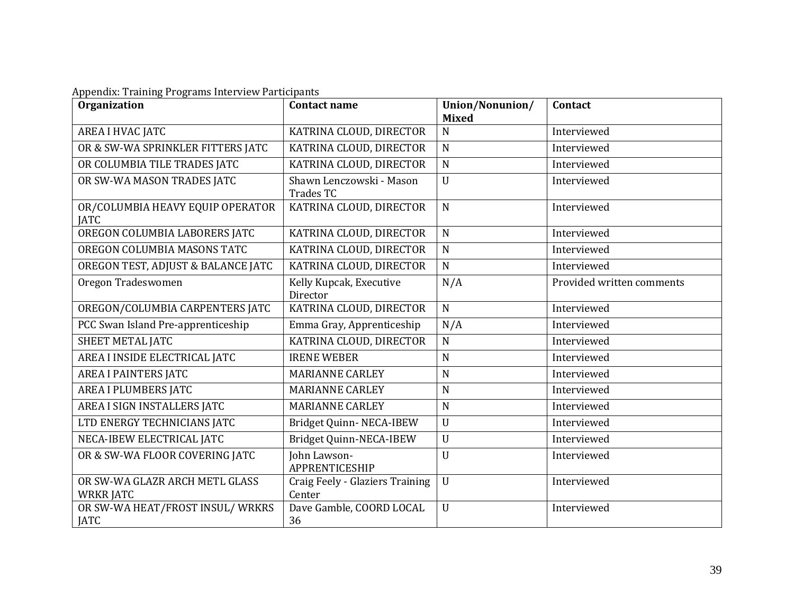|  |  | Appendix: Training Programs Interview Participants |  |
|--|--|----------------------------------------------------|--|
|  |  |                                                    |  |

| <b>Organization</b>                                | <b>Contact name</b>                          | Union/Nonunion/<br><b>Mixed</b> | Contact                   |
|----------------------------------------------------|----------------------------------------------|---------------------------------|---------------------------|
| AREA I HVAC JATC                                   | KATRINA CLOUD, DIRECTOR                      | $\mathbf N$                     | Interviewed               |
| OR & SW-WA SPRINKLER FITTERS JATC                  | KATRINA CLOUD, DIRECTOR                      | $\mathbf N$                     | Interviewed               |
| OR COLUMBIA TILE TRADES JATC                       | KATRINA CLOUD, DIRECTOR                      | $\mathbf N$                     | Interviewed               |
| OR SW-WA MASON TRADES JATC                         | Shawn Lenczowski - Mason<br><b>Trades TC</b> | $\mathbf U$                     | Interviewed               |
| OR/COLUMBIA HEAVY EQUIP OPERATOR<br><b>JATC</b>    | KATRINA CLOUD, DIRECTOR                      | $\mathbf N$                     | Interviewed               |
| OREGON COLUMBIA LABORERS JATC                      | KATRINA CLOUD, DIRECTOR                      | $\mathbf N$                     | Interviewed               |
| OREGON COLUMBIA MASONS TATC                        | KATRINA CLOUD, DIRECTOR                      | $\mathbf N$                     | Interviewed               |
| OREGON TEST, ADJUST & BALANCE JATC                 | KATRINA CLOUD, DIRECTOR                      | $\mathbf N$                     | Interviewed               |
| Oregon Tradeswomen                                 | Kelly Kupcak, Executive<br>Director          | N/A                             | Provided written comments |
| OREGON/COLUMBIA CARPENTERS JATC                    | KATRINA CLOUD, DIRECTOR                      | $\mathbf N$                     | Interviewed               |
| PCC Swan Island Pre-apprenticeship                 | Emma Gray, Apprenticeship                    | N/A                             | Interviewed               |
| <b>SHEET METAL JATC</b>                            | KATRINA CLOUD, DIRECTOR                      | $\mathbf N$                     | Interviewed               |
| AREA I INSIDE ELECTRICAL JATC                      | <b>IRENE WEBER</b>                           | $\mathbf N$                     | Interviewed               |
| <b>AREA I PAINTERS JATC</b>                        | <b>MARIANNE CARLEY</b>                       | $\overline{N}$                  | Interviewed               |
| <b>AREA I PLUMBERS JATC</b>                        | <b>MARIANNE CARLEY</b>                       | $\mathbf N$                     | Interviewed               |
| AREA I SIGN INSTALLERS JATC                        | <b>MARIANNE CARLEY</b>                       | $\mathbf N$                     | Interviewed               |
| LTD ENERGY TECHNICIANS JATC                        | Bridget Quinn-NECA-IBEW                      | $\mathbf U$                     | Interviewed               |
| NECA-IBEW ELECTRICAL JATC                          | Bridget Quinn-NECA-IBEW                      | $\mathbf U$                     | Interviewed               |
| OR & SW-WA FLOOR COVERING JATC                     | John Lawson-<br><b>APPRENTICESHIP</b>        | U                               | Interviewed               |
| OR SW-WA GLAZR ARCH METL GLASS<br><b>WRKR JATC</b> | Craig Feely - Glaziers Training<br>Center    | $\mathbf U$                     | Interviewed               |
| OR SW-WA HEAT/FROST INSUL/WRKRS<br><b>JATC</b>     | Dave Gamble, COORD LOCAL<br>36               | $\mathbf U$                     | Interviewed               |